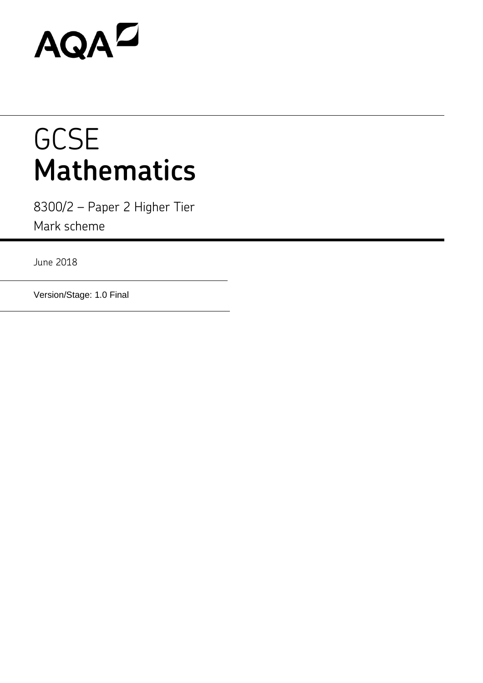# AQAD

# **GCSE Mathematics**

8300/2 – Paper 2 Higher Tier Mark scheme

June 2018

Version/Stage: 1.0 Final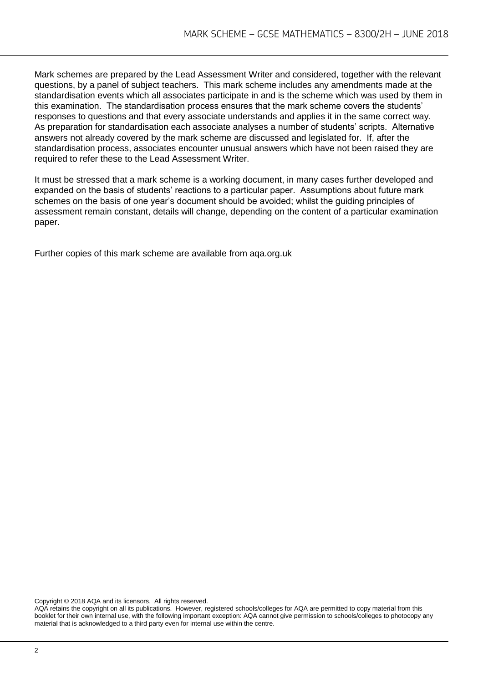Mark schemes are prepared by the Lead Assessment Writer and considered, together with the relevant questions, by a panel of subject teachers. This mark scheme includes any amendments made at the standardisation events which all associates participate in and is the scheme which was used by them in this examination. The standardisation process ensures that the mark scheme covers the students' responses to questions and that every associate understands and applies it in the same correct way. As preparation for standardisation each associate analyses a number of students' scripts. Alternative answers not already covered by the mark scheme are discussed and legislated for. If, after the standardisation process, associates encounter unusual answers which have not been raised they are required to refer these to the Lead Assessment Writer.

It must be stressed that a mark scheme is a working document, in many cases further developed and expanded on the basis of students' reactions to a particular paper. Assumptions about future mark schemes on the basis of one year's document should be avoided; whilst the guiding principles of assessment remain constant, details will change, depending on the content of a particular examination paper.

Further copies of this mark scheme are available from aqa.org.uk

Copyright © 2018 AQA and its licensors. All rights reserved.

AQA retains the copyright on all its publications. However, registered schools/colleges for AQA are permitted to copy material from this booklet for their own internal use, with the following important exception: AQA cannot give permission to schools/colleges to photocopy any material that is acknowledged to a third party even for internal use within the centre.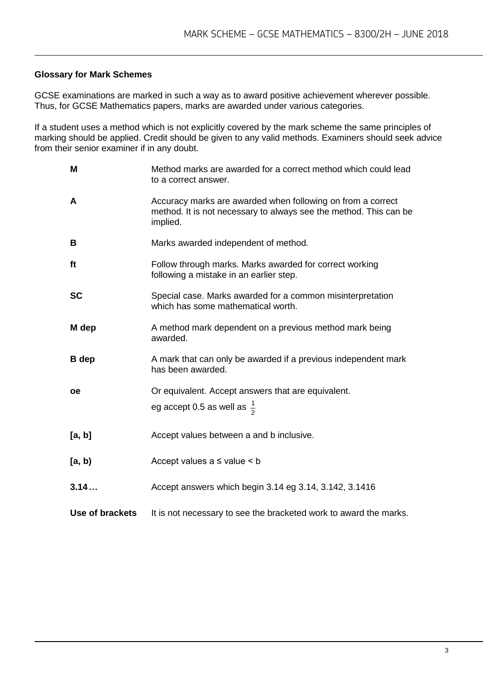#### **Glossary for Mark Schemes**

GCSE examinations are marked in such a way as to award positive achievement wherever possible. Thus, for GCSE Mathematics papers, marks are awarded under various categories.

If a student uses a method which is not explicitly covered by the mark scheme the same principles of marking should be applied. Credit should be given to any valid methods. Examiners should seek advice from their senior examiner if in any doubt.

| M               | Method marks are awarded for a correct method which could lead<br>to a correct answer.                                                       |
|-----------------|----------------------------------------------------------------------------------------------------------------------------------------------|
| A               | Accuracy marks are awarded when following on from a correct<br>method. It is not necessary to always see the method. This can be<br>implied. |
| B               | Marks awarded independent of method.                                                                                                         |
| ft              | Follow through marks. Marks awarded for correct working<br>following a mistake in an earlier step.                                           |
| <b>SC</b>       | Special case. Marks awarded for a common misinterpretation<br>which has some mathematical worth.                                             |
| M dep           | A method mark dependent on a previous method mark being<br>awarded.                                                                          |
| <b>B</b> dep    | A mark that can only be awarded if a previous independent mark<br>has been awarded.                                                          |
| <b>oe</b>       | Or equivalent. Accept answers that are equivalent.                                                                                           |
|                 | eg accept 0.5 as well as $\frac{1}{2}$                                                                                                       |
| [a, b]          | Accept values between a and b inclusive.                                                                                                     |
| [a, b)          | Accept values $a \leq$ value $\leq b$                                                                                                        |
| 3.14            | Accept answers which begin 3.14 eg 3.14, 3.142, 3.1416                                                                                       |
| Use of brackets | It is not necessary to see the bracketed work to award the marks.                                                                            |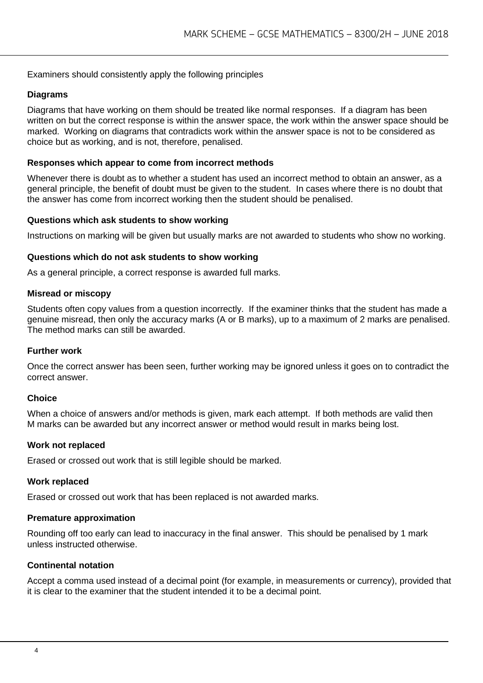#### Examiners should consistently apply the following principles

#### **Diagrams**

Diagrams that have working on them should be treated like normal responses. If a diagram has been written on but the correct response is within the answer space, the work within the answer space should be marked. Working on diagrams that contradicts work within the answer space is not to be considered as choice but as working, and is not, therefore, penalised.

#### **Responses which appear to come from incorrect methods**

Whenever there is doubt as to whether a student has used an incorrect method to obtain an answer, as a general principle, the benefit of doubt must be given to the student. In cases where there is no doubt that the answer has come from incorrect working then the student should be penalised.

#### **Questions which ask students to show working**

Instructions on marking will be given but usually marks are not awarded to students who show no working.

#### **Questions which do not ask students to show working**

As a general principle, a correct response is awarded full marks.

#### **Misread or miscopy**

Students often copy values from a question incorrectly. If the examiner thinks that the student has made a genuine misread, then only the accuracy marks (A or B marks), up to a maximum of 2 marks are penalised. The method marks can still be awarded.

#### **Further work**

Once the correct answer has been seen, further working may be ignored unless it goes on to contradict the correct answer.

#### **Choice**

When a choice of answers and/or methods is given, mark each attempt. If both methods are valid then M marks can be awarded but any incorrect answer or method would result in marks being lost.

#### **Work not replaced**

Erased or crossed out work that is still legible should be marked.

#### **Work replaced**

Erased or crossed out work that has been replaced is not awarded marks.

#### **Premature approximation**

Rounding off too early can lead to inaccuracy in the final answer. This should be penalised by 1 mark unless instructed otherwise.

#### **Continental notation**

Accept a comma used instead of a decimal point (for example, in measurements or currency), provided that it is clear to the examiner that the student intended it to be a decimal point.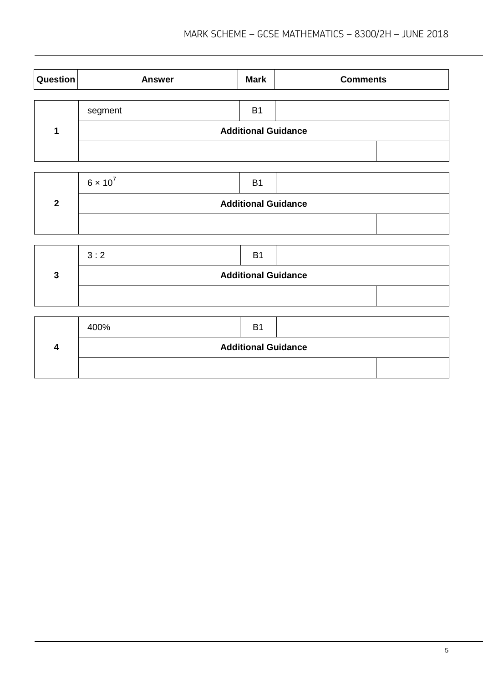| Question | <b>Answer</b>              | <b>Mark</b>    | <b>Comments</b> |  |  |
|----------|----------------------------|----------------|-----------------|--|--|
|          |                            |                |                 |  |  |
|          | segment                    | B <sub>1</sub> |                 |  |  |
|          | <b>Additional Guidance</b> |                |                 |  |  |
|          |                            |                |                 |  |  |

| $6 \times 10^{7}$          | B <sup>1</sup> |  |  |  |  |
|----------------------------|----------------|--|--|--|--|
| <b>Additional Guidance</b> |                |  |  |  |  |
|                            |                |  |  |  |  |

| 3:2                        | B <sub>1</sub> |  |  |
|----------------------------|----------------|--|--|
| <b>Additional Guidance</b> |                |  |  |
|                            |                |  |  |

| 400%                       | B1 |  |  |  |
|----------------------------|----|--|--|--|
| <b>Additional Guidance</b> |    |  |  |  |
|                            |    |  |  |  |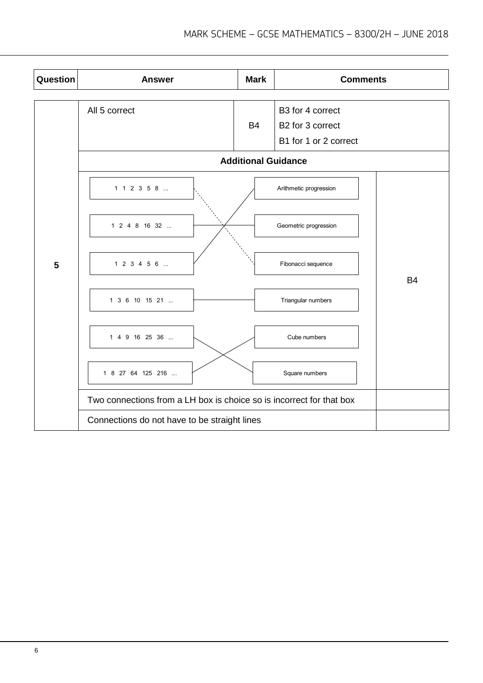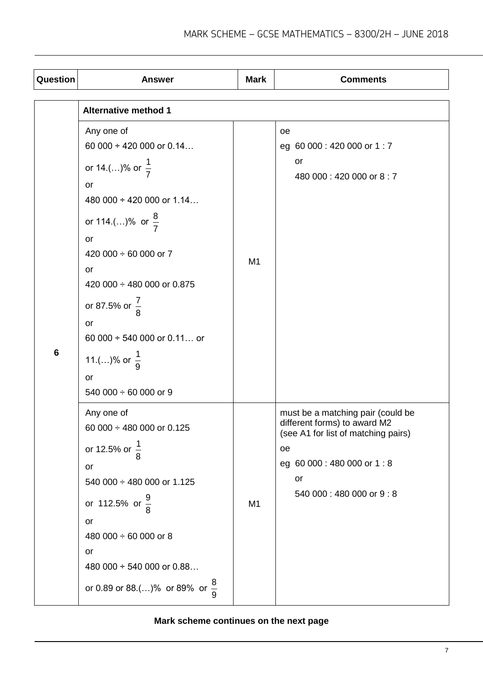| Question       | <b>Answer</b>                                                                                                                                                                                                                                                                                                                                                         | <b>Mark</b> | <b>Comments</b>                                                                                                                                                                |  |  |
|----------------|-----------------------------------------------------------------------------------------------------------------------------------------------------------------------------------------------------------------------------------------------------------------------------------------------------------------------------------------------------------------------|-------------|--------------------------------------------------------------------------------------------------------------------------------------------------------------------------------|--|--|
|                | <b>Alternative method 1</b>                                                                                                                                                                                                                                                                                                                                           |             |                                                                                                                                                                                |  |  |
| $6\phantom{1}$ | Any one of<br>60 000 $\div$ 420 000 or 0.14<br>or 14.()% or $\frac{1}{7}$<br>or<br>480 000 $\div$ 420 000 or 1.14<br>or 114.()% or $\frac{8}{7}$<br>or<br>420 000 $\div$ 60 000 or 7<br>or<br>420 000 $\div$ 480 000 or 0.875<br>or 87.5% or $\frac{7}{8}$<br><b>or</b><br>60 000 $\div$ 540 000 or 0.11 or<br>11.()% or $\frac{1}{9}$<br>or<br>540 000 ÷ 60 000 or 9 | M1          | oе<br>eg 60 000 : 420 000 or 1 : 7<br>or<br>480 000:420 000 or 8:7                                                                                                             |  |  |
|                | Any one of<br>60 000 $\div$ 480 000 or 0.125<br>or 12.5% or $\frac{1}{8}$<br>or<br>540 000 ÷ 480 000 or 1.125<br>or 112.5% or $\frac{9}{8}$<br>or<br>480 000 ÷ 60 000 or 8<br>or<br>480 000 ÷ 540 000 or 0.88<br>or 0.89 or 88.()% or 89% or $\frac{8}{9}$                                                                                                            | M1          | must be a matching pair (could be<br>different forms) to award M2<br>(see A1 for list of matching pairs)<br>oe<br>eg 60 000 : 480 000 or 1 : 8<br>or<br>540 000:480 000 or 9:8 |  |  |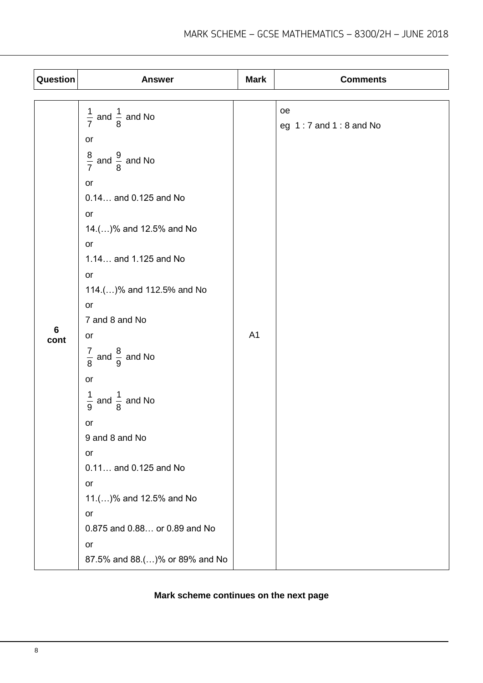| Question       | <b>Answer</b>                          | <b>Mark</b>    | <b>Comments</b>                 |
|----------------|----------------------------------------|----------------|---------------------------------|
|                |                                        |                |                                 |
|                | $\frac{1}{7}$ and $\frac{1}{8}$ and No |                | oe<br>eg $1:7$ and $1:8$ and No |
|                | or                                     |                |                                 |
|                | $\frac{8}{7}$ and $\frac{9}{8}$ and No |                |                                 |
|                | or                                     |                |                                 |
|                | 0.14 and 0.125 and No                  |                |                                 |
|                | or                                     |                |                                 |
|                | 14.()% and 12.5% and No                |                |                                 |
|                | or                                     |                |                                 |
|                | 1.14 and 1.125 and No                  |                |                                 |
|                | or                                     |                |                                 |
|                | 114.()% and 112.5% and No              |                |                                 |
|                | or                                     |                |                                 |
| $6\phantom{1}$ | 7 and 8 and No                         |                |                                 |
| cont           | or                                     | A <sub>1</sub> |                                 |
|                | $\frac{7}{8}$ and $\frac{8}{9}$ and No |                |                                 |
|                | or                                     |                |                                 |
|                | $\frac{1}{9}$ and $\frac{1}{8}$ and No |                |                                 |
|                | or                                     |                |                                 |
|                | 9 and 8 and No                         |                |                                 |
|                | or                                     |                |                                 |
|                | 0.11 and 0.125 and No                  |                |                                 |
|                | or                                     |                |                                 |
|                | 11.()% and 12.5% and No                |                |                                 |
|                | or                                     |                |                                 |
|                | 0.875 and 0.88 or 0.89 and No          |                |                                 |
|                | or                                     |                |                                 |
|                | 87.5% and 88.()% or 89% and No         |                |                                 |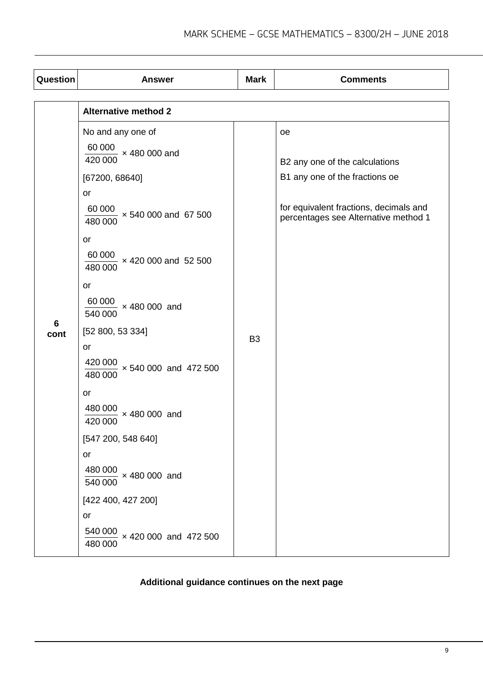|           | <b>Alternative method 2</b><br>No and any one of<br>$\frac{60000}{100}$ × 480 000 and<br>420 000<br>[67200, 68640]<br>or<br>$\frac{60000}{1000}$ × 540 000 and 67 500<br>480 000<br>or<br>$\frac{60000}{100}$ × 420 000 and 52 500<br>480 000<br>or                                                                                       | <b>Mark</b><br>B <sub>3</sub> | <b>oe</b><br>B2 any one of the calculations<br>B1 any one of the fractions oe<br>for equivalent fractions, decimals and<br>percentages see Alternative method 1 |
|-----------|-------------------------------------------------------------------------------------------------------------------------------------------------------------------------------------------------------------------------------------------------------------------------------------------------------------------------------------------|-------------------------------|-----------------------------------------------------------------------------------------------------------------------------------------------------------------|
| 6<br>cont | $\frac{60000}{540000}$ × 480 000 and<br>[52 800, 53 334]<br>or<br>$\frac{420000}{100}$ × 540 000 and 472 500<br>480 000<br>or<br>$\frac{480000}{\times}$ × 480 000 and<br>420 000<br>[547 200, 548 640]<br>or<br>$\frac{480000}{1}$ × 480 000 and<br>540 000<br>[422 400, 427 200]<br>or<br>$\frac{540000}{\times}$ × 420 000 and 472 500 |                               |                                                                                                                                                                 |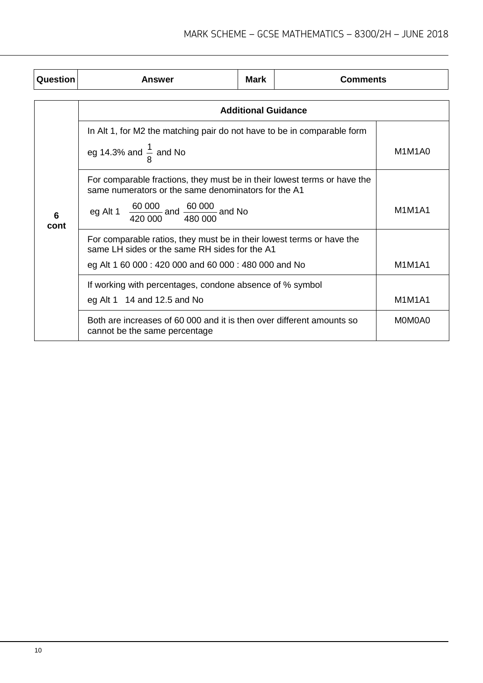| Question  | Answer                                                                                                                                                                                               | <b>Mark</b> | <b>Comments</b> |               |  |  |
|-----------|------------------------------------------------------------------------------------------------------------------------------------------------------------------------------------------------------|-------------|-----------------|---------------|--|--|
|           | <b>Additional Guidance</b>                                                                                                                                                                           |             |                 |               |  |  |
| 6<br>cont | In Alt 1, for M2 the matching pair do not have to be in comparable form<br>eg 14.3% and $\frac{1}{8}$ and No                                                                                         |             |                 | M1M1A0        |  |  |
|           | For comparable fractions, they must be in their lowest terms or have the<br>same numerators or the same denominators for the A1<br>eg Alt 1 $\frac{60000}{420000}$ and $\frac{60000}{480000}$ and No | M1M1A1      |                 |               |  |  |
|           | For comparable ratios, they must be in their lowest terms or have the<br>same LH sides or the same RH sides for the A1<br>eg Alt 1 60 000 : 420 000 and 60 000 : 480 000 and No                      |             |                 | <b>M1M1A1</b> |  |  |
|           | If working with percentages, condone absence of % symbol<br>eg Alt 1 $14$ and 12.5 and No                                                                                                            |             |                 | <b>M1M1A1</b> |  |  |
|           | Both are increases of 60 000 and it is then over different amounts so<br>cannot be the same percentage                                                                                               |             |                 | MOMOA0        |  |  |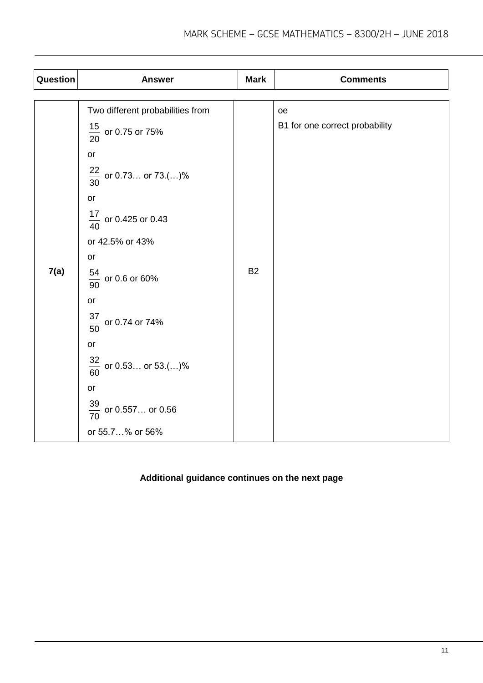| Question | <b>Answer</b>                                                                                                                                                                                                                                                                                        | <b>Mark</b> | <b>Comments</b>                      |
|----------|------------------------------------------------------------------------------------------------------------------------------------------------------------------------------------------------------------------------------------------------------------------------------------------------------|-------------|--------------------------------------|
| 7(a)     | Two different probabilities from<br>$\frac{15}{20}$ or 0.75 or 75%<br>or<br>$\frac{22}{30}$ or 0.73 or 73.()%<br>or<br>$\frac{17}{40}$ or 0.425 or 0.43<br>or 42.5% or 43%<br>or<br>$\frac{54}{90}$ or 0.6 or 60%<br>or<br>$\frac{37}{50}$ or 0.74 or 74%<br>or<br>$\frac{32}{60}$ or 0.53 or 53.()% | <b>B2</b>   | oe<br>B1 for one correct probability |
|          | or<br>$\frac{39}{70}$ or 0.557 or 0.56                                                                                                                                                                                                                                                               |             |                                      |
|          | or 55.7% or 56%                                                                                                                                                                                                                                                                                      |             |                                      |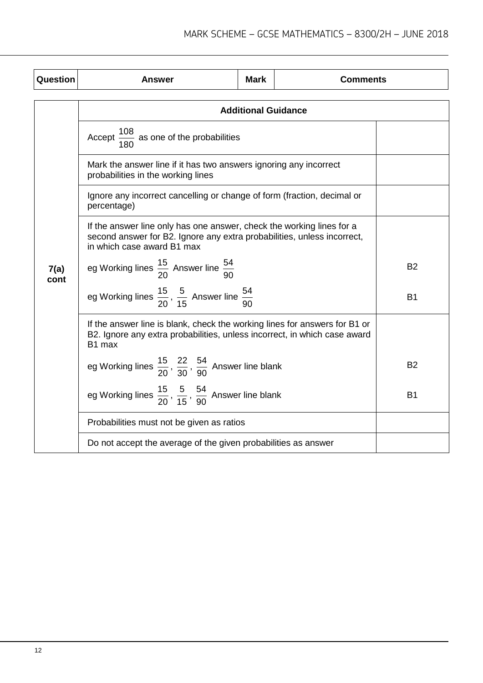| Question     | Answer                                                                                                                                                                         | <b>Mark</b> | <b>Comments</b> |           |  |
|--------------|--------------------------------------------------------------------------------------------------------------------------------------------------------------------------------|-------------|-----------------|-----------|--|
|              | <b>Additional Guidance</b>                                                                                                                                                     |             |                 |           |  |
|              | Accept $\frac{108}{180}$ as one of the probabilities                                                                                                                           |             |                 |           |  |
|              | Mark the answer line if it has two answers ignoring any incorrect<br>probabilities in the working lines                                                                        |             |                 |           |  |
|              | Ignore any incorrect cancelling or change of form (fraction, decimal or<br>percentage)                                                                                         |             |                 |           |  |
|              | If the answer line only has one answer, check the working lines for a<br>second answer for B2. Ignore any extra probabilities, unless incorrect,<br>in which case award B1 max |             |                 |           |  |
| 7(a)<br>cont | eg Working lines $\frac{15}{20}$ Answer line $\frac{54}{90}$                                                                                                                   |             |                 | <b>B2</b> |  |
|              | eg Working lines $\frac{15}{20}$ , $\frac{5}{15}$ Answer line $\frac{54}{90}$                                                                                                  |             |                 | <b>B1</b> |  |
|              | If the answer line is blank, check the working lines for answers for B1 or<br>B2. Ignore any extra probabilities, unless incorrect, in which case award<br>B1 max              |             |                 |           |  |
|              | eg Working lines $\frac{15}{20}$ , $\frac{22}{30}$ , $\frac{54}{90}$ Answer line blank                                                                                         |             |                 | <b>B2</b> |  |
|              | eg Working lines $\frac{15}{20}$ , $\frac{5}{15}$ , $\frac{54}{90}$ Answer line blank                                                                                          |             |                 | <b>B1</b> |  |
|              | Probabilities must not be given as ratios                                                                                                                                      |             |                 |           |  |
|              | Do not accept the average of the given probabilities as answer                                                                                                                 |             |                 |           |  |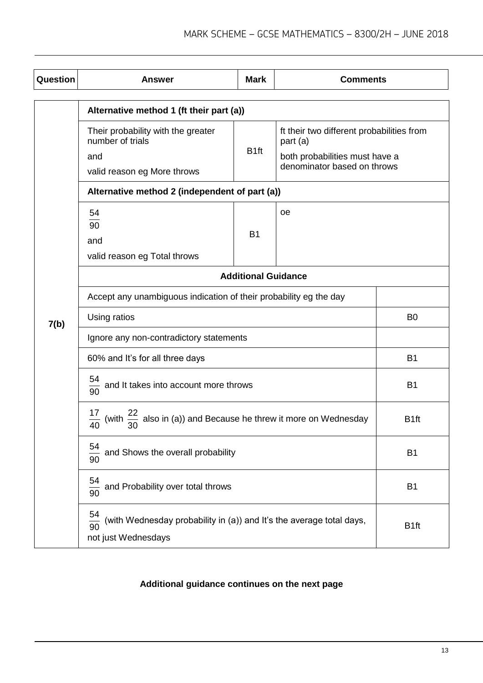| Question | <b>Answer</b>                                                                                           | <b>Mark</b>      | <b>Comments</b>                                                                                                        |                  |
|----------|---------------------------------------------------------------------------------------------------------|------------------|------------------------------------------------------------------------------------------------------------------------|------------------|
|          | Alternative method 1 (ft their part (a))                                                                |                  |                                                                                                                        |                  |
|          | Their probability with the greater<br>number of trials<br>and<br>valid reason eg More throws            | B <sub>1ft</sub> | ft their two different probabilities from<br>part (a)<br>both probabilities must have a<br>denominator based on throws |                  |
|          | Alternative method 2 (independent of part (a))                                                          |                  |                                                                                                                        |                  |
|          | 54<br>90<br>and<br>valid reason eg Total throws                                                         | <b>B1</b>        | oe                                                                                                                     |                  |
|          | <b>Additional Guidance</b>                                                                              |                  |                                                                                                                        |                  |
|          | Accept any unambiguous indication of their probability eg the day                                       |                  |                                                                                                                        |                  |
| 7(b)     | Using ratios                                                                                            |                  |                                                                                                                        | B <sub>0</sub>   |
|          | Ignore any non-contradictory statements                                                                 |                  |                                                                                                                        |                  |
|          | 60% and It's for all three days                                                                         |                  |                                                                                                                        | <b>B1</b>        |
|          | $\frac{54}{90}$ and It takes into account more throws                                                   |                  |                                                                                                                        | <b>B1</b>        |
|          | (with $\frac{22}{30}$ also in (a)) and Because he threw it more on Wednesday<br>$\overline{40}$         |                  |                                                                                                                        | B <sub>1ft</sub> |
|          | 54<br>and Shows the overall probability<br>90                                                           |                  |                                                                                                                        | <b>B1</b>        |
|          | 54<br>and Probability over total throws<br>$rac{1}{90}$                                                 |                  |                                                                                                                        | B <sub>1</sub>   |
|          | 54<br>(with Wednesday probability in (a)) and It's the average total days,<br>90<br>not just Wednesdays |                  |                                                                                                                        | B <sub>1ft</sub> |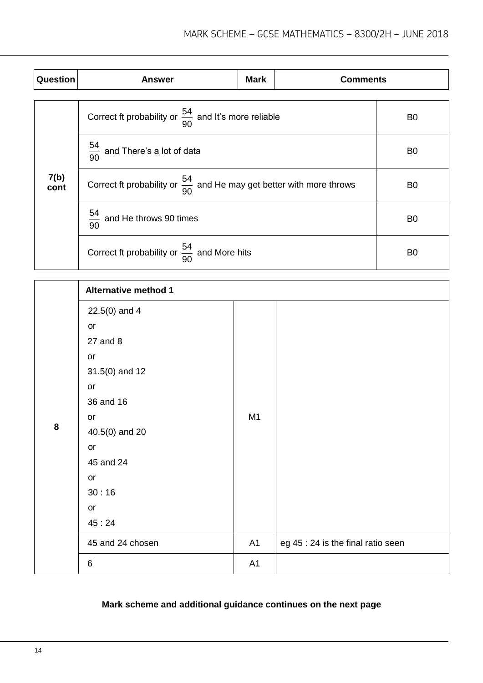| Question     | <b>Answer</b>                                                                    | <b>Mark</b> | <b>Comments</b> |                |
|--------------|----------------------------------------------------------------------------------|-------------|-----------------|----------------|
|              | Correct ft probability or $\frac{54}{90}$ and It's more reliable                 |             |                 | B <sub>0</sub> |
|              | $\frac{54}{90}$ and There's a lot of data                                        |             |                 | B <sub>0</sub> |
| 7(b)<br>cont | Correct ft probability or $\frac{54}{90}$ and He may get better with more throws |             |                 | B <sub>0</sub> |
|              | $\frac{54}{90}$ and He throws 90 times                                           |             |                 | B <sub>0</sub> |
|              | Correct ft probability or $\frac{54}{90}$ and More hits                          |             |                 | B <sub>0</sub> |

|   | <b>Alternative method 1</b> |                |                                    |
|---|-----------------------------|----------------|------------------------------------|
|   | $22.5(0)$ and 4             |                |                                    |
|   | or                          |                |                                    |
|   | 27 and 8                    |                |                                    |
|   | or                          |                |                                    |
|   | $31.5(0)$ and 12            |                |                                    |
|   | or                          |                |                                    |
|   | 36 and 16                   |                |                                    |
|   | or                          | M <sub>1</sub> |                                    |
| 8 | 40.5(0) and 20              |                |                                    |
|   | or                          |                |                                    |
|   | 45 and 24                   |                |                                    |
|   | or                          |                |                                    |
|   | 30:16                       |                |                                    |
|   | or                          |                |                                    |
|   | 45:24                       |                |                                    |
|   | 45 and 24 chosen            | A1             | eg 45 : 24 is the final ratio seen |
|   | 6                           | A1             |                                    |

# **Mark scheme and additional guidance continues on the next page**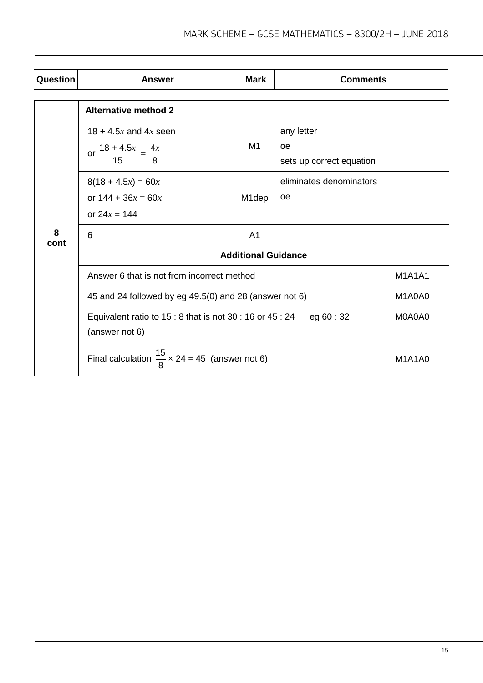| Question  | <b>Answer</b>                                                                     | <b>Mark</b>        | <b>Comments</b>          |               |
|-----------|-----------------------------------------------------------------------------------|--------------------|--------------------------|---------------|
|           | <b>Alternative method 2</b>                                                       |                    |                          |               |
|           |                                                                                   |                    |                          |               |
|           | $18 + 4.5x$ and $4x$ seen                                                         |                    | any letter               |               |
|           | or $\frac{18 + 4.5x}{15} = \frac{4x}{8}$                                          | M1                 | oe                       |               |
|           |                                                                                   |                    | sets up correct equation |               |
|           | $8(18 + 4.5x) = 60x$                                                              |                    | eliminates denominators  |               |
|           | or $144 + 36x = 60x$                                                              | M <sub>1</sub> dep | <b>oe</b>                |               |
|           | or $24x = 144$                                                                    |                    |                          |               |
| 8<br>cont | 6                                                                                 | A <sub>1</sub>     |                          |               |
|           | <b>Additional Guidance</b>                                                        |                    |                          |               |
|           | Answer 6 that is not from incorrect method                                        |                    |                          | <b>M1A1A1</b> |
|           | 45 and 24 followed by eg 49.5(0) and 28 (answer not 6)<br>M1A0A0                  |                    |                          |               |
|           | Equivalent ratio to $15:8$ that is not 30 : 16 or 45 : 24<br>eg 60 : 32<br>M0A0A0 |                    |                          |               |
|           | (answer not 6)                                                                    |                    |                          |               |
|           | Final calculation $\frac{15}{8}$ x 24 = 45 (answer not 6)                         |                    |                          | <b>M1A1A0</b> |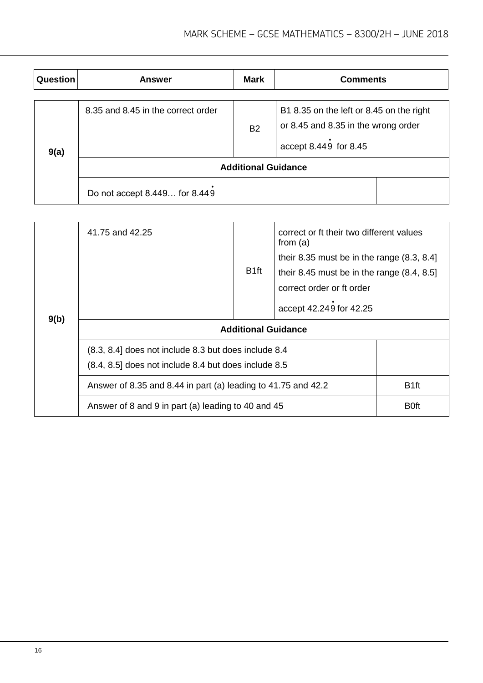| <b>Question</b> | <b>Answer</b>                      | <b>Mark</b> | <b>Comments</b>                                                                                          |  |
|-----------------|------------------------------------|-------------|----------------------------------------------------------------------------------------------------------|--|
| 9(a)            | 8.35 and 8.45 in the correct order | <b>B2</b>   | B1 8.35 on the left or 8.45 on the right<br>or 8.45 and 8.35 in the wrong order<br>accept 8.449 for 8.45 |  |
|                 | <b>Additional Guidance</b>         |             |                                                                                                          |  |
|                 | Do not accept 8.449 for 8.449      |             |                                                                                                          |  |

|      | 41.75 and 42.25                                                                                              | B <sub>1ft</sub> | correct or ft their two different values<br>from $(a)$<br>their 8.35 must be in the range $(8.3, 8.4)$<br>their 8.45 must be in the range $(8.4, 8.5)$<br>correct order or ft order<br>accept 42.249 for 42.25 |                  |
|------|--------------------------------------------------------------------------------------------------------------|------------------|----------------------------------------------------------------------------------------------------------------------------------------------------------------------------------------------------------------|------------------|
| 9(b) | <b>Additional Guidance</b>                                                                                   |                  |                                                                                                                                                                                                                |                  |
|      | (8.3, 8.4) does not include 8.3 but does include 8.4<br>(8.4, 8.5) does not include 8.4 but does include 8.5 |                  |                                                                                                                                                                                                                |                  |
|      | Answer of 8.35 and 8.44 in part (a) leading to 41.75 and 42.2                                                |                  |                                                                                                                                                                                                                | B <sub>1ft</sub> |
|      | Answer of 8 and 9 in part (a) leading to 40 and 45                                                           |                  |                                                                                                                                                                                                                |                  |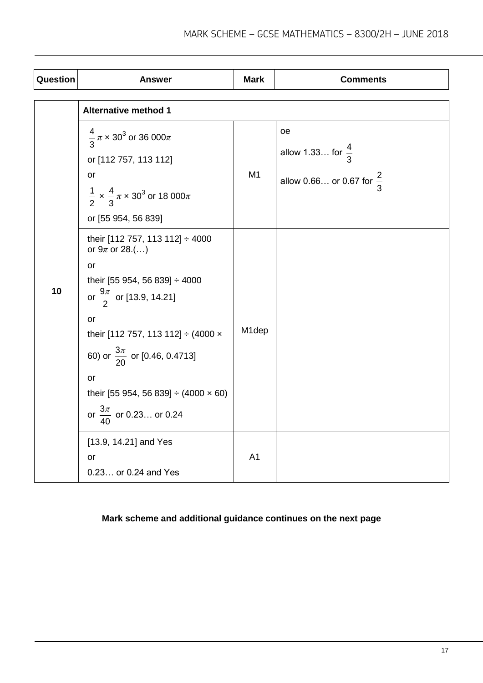| Question | <b>Answer</b>                                                                                                                                                                                                                                                                                                                                                                                            | <b>Mark</b>             | <b>Comments</b>                                                            |
|----------|----------------------------------------------------------------------------------------------------------------------------------------------------------------------------------------------------------------------------------------------------------------------------------------------------------------------------------------------------------------------------------------------------------|-------------------------|----------------------------------------------------------------------------|
|          | <b>Alternative method 1</b>                                                                                                                                                                                                                                                                                                                                                                              |                         |                                                                            |
| 10       | $\frac{4}{3}\pi \times 30^3$ or 36 000 $\pi$<br>or [112 757, 113 112]<br>or<br>$\frac{1}{2} \times \frac{4}{3} \pi \times 30^3$ or 18 000 $\pi$<br>or [55 954, 56 839]<br>their [112 757, 113 112] ÷ 4000<br>or $9\pi$ or 28.()<br>or<br>their [55 954, 56 839] ÷ 4000<br>or $\frac{9\pi}{2}$ or [13.9, 14.21]<br>or<br>their [112 757, 113 112] ÷ (4000 x<br>60) or $\frac{3\pi}{20}$ or [0.46, 0.4713] | M <sub>1</sub><br>M1dep | oe<br>allow 1.33 for $\frac{4}{3}$<br>allow 0.66 or 0.67 for $\frac{2}{3}$ |
|          | or<br>their [55 954, 56 839] $\div$ (4000 $\times$ 60)<br>or $\frac{3\pi}{40}$ or 0.23 or 0.24                                                                                                                                                                                                                                                                                                           |                         |                                                                            |
|          | [13.9, 14.21] and Yes<br>or<br>0.23 or 0.24 and Yes                                                                                                                                                                                                                                                                                                                                                      | A <sub>1</sub>          |                                                                            |

# **Mark scheme and additional guidance continues on the next page**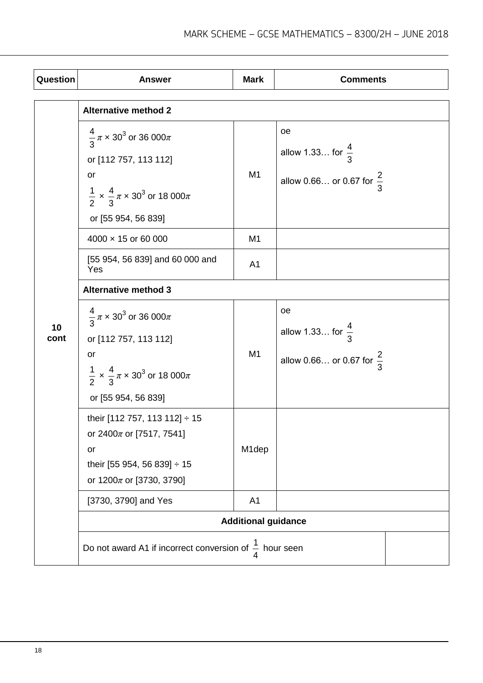| Question   | <b>Answer</b>                                                                                                                                                          | <b>Mark</b>    | <b>Comments</b>                                                            |  |
|------------|------------------------------------------------------------------------------------------------------------------------------------------------------------------------|----------------|----------------------------------------------------------------------------|--|
|            | <b>Alternative method 2</b>                                                                                                                                            |                |                                                                            |  |
|            | $\frac{4}{3}\pi \times 30^3$ or 36 000 $\pi$<br>or [112 757, 113 112]<br>or<br>$\frac{1}{2} \times \frac{4}{3} \pi \times 30^3$ or 18 000 $\pi$<br>or [55 954, 56 839] | M1             | oe<br>allow 1.33 for $\frac{4}{3}$<br>allow 0.66 or 0.67 for $\frac{2}{3}$ |  |
|            | $4000 \times 15$ or 60 000                                                                                                                                             | M <sub>1</sub> |                                                                            |  |
|            | [55 954, 56 839] and 60 000 and<br>Yes                                                                                                                                 | A <sub>1</sub> |                                                                            |  |
|            | <b>Alternative method 3</b>                                                                                                                                            |                |                                                                            |  |
| 10<br>cont | $\frac{4}{3}\pi \times 30^3$ or 36 000 $\pi$<br>or [112 757, 113 112]<br>or<br>$\frac{1}{2} \times \frac{4}{3} \pi \times 30^3$ or 18 000 $\pi$<br>or [55 954, 56 839] | M1             | oe<br>allow 1.33 for $\frac{4}{3}$<br>allow 0.66 or 0.67 for $\frac{2}{3}$ |  |
|            | their [112 757, 113 112] ÷ 15<br>or 2400 $\pi$ or [7517, 7541]<br>or<br>their [55 954, 56 839] ÷ 15<br>or $1200\pi$ or [3730, 3790]                                    | M1dep          |                                                                            |  |
|            | [3730, 3790] and Yes                                                                                                                                                   | A <sub>1</sub> |                                                                            |  |
|            | <b>Additional guidance</b>                                                                                                                                             |                |                                                                            |  |
|            | Do not award A1 if incorrect conversion of $\frac{1}{4}$ hour seen                                                                                                     |                |                                                                            |  |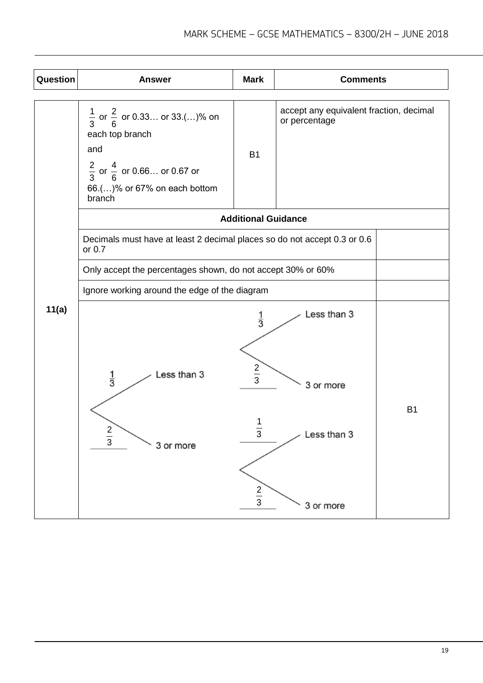| Question | <b>Answer</b>                                                                                                                                                                | <b>Mark</b>                                                 | <b>Comments</b>                                          |  |
|----------|------------------------------------------------------------------------------------------------------------------------------------------------------------------------------|-------------------------------------------------------------|----------------------------------------------------------|--|
|          | $\frac{1}{3}$ or $\frac{2}{6}$ or 0.33 or 33.()% on<br>each top branch<br>and<br>$\frac{2}{3}$ or $\frac{4}{6}$ or 0.66 or 0.67 or<br>66.()% or 67% on each bottom<br>branch | <b>B1</b>                                                   | accept any equivalent fraction, decimal<br>or percentage |  |
|          |                                                                                                                                                                              | <b>Additional Guidance</b>                                  |                                                          |  |
|          | Decimals must have at least 2 decimal places so do not accept 0.3 or 0.6<br>or $0.7$                                                                                         |                                                             |                                                          |  |
|          | Only accept the percentages shown, do not accept 30% or 60%                                                                                                                  |                                                             |                                                          |  |
|          | Ignore working around the edge of the diagram                                                                                                                                |                                                             |                                                          |  |
| 11(a)    | Less than 3                                                                                                                                                                  | $\frac{1}{3}$<br>$\frac{2}{3}$                              | Less than 3                                              |  |
|          | $\frac{1}{3}$                                                                                                                                                                |                                                             | 3 or more                                                |  |
|          | 2<br>$\frac{1}{3}$<br>3 or more                                                                                                                                              | <b>B1</b><br>Less than 3<br>3<br>$\frac{2}{3}$<br>3 or more |                                                          |  |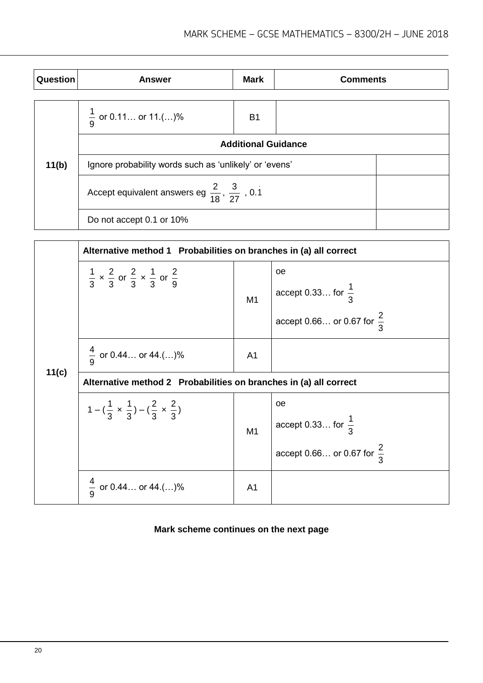| Question | <b>Answer</b>                                                      | <b>Mark</b>    | <b>Comments</b> |  |
|----------|--------------------------------------------------------------------|----------------|-----------------|--|
|          |                                                                    |                |                 |  |
|          | $\frac{1}{9}$ or 0.11 or 11.()%                                    | B <sub>1</sub> |                 |  |
|          | <b>Additional Guidance</b>                                         |                |                 |  |
| 11(b)    | Ignore probability words such as 'unlikely' or 'evens'             |                |                 |  |
|          | Accept equivalent answers eg $\frac{2}{18}$ , $\frac{3}{27}$ , 0.1 |                |                 |  |
|          | Do not accept 0.1 or 10%                                           |                |                 |  |

|       | Alternative method 1 Probabilities on branches in (a) all correct                     |                |                                                                                      |  |  |
|-------|---------------------------------------------------------------------------------------|----------------|--------------------------------------------------------------------------------------|--|--|
|       | $\frac{1}{3} \times \frac{2}{3}$ or $\frac{2}{3} \times \frac{1}{3}$ or $\frac{2}{9}$ | M1             | oe<br>$\vert$ accept 0.33 for $\frac{1}{3}$<br>accept 0.66 or 0.67 for $\frac{2}{3}$ |  |  |
|       | $\frac{4}{9}$ or 0.44 or 44.()%                                                       | A <sub>1</sub> |                                                                                      |  |  |
| 11(c) | Alternative method 2 Probabilities on branches in (a) all correct                     |                |                                                                                      |  |  |
|       | $1-(\frac{1}{3} \times \frac{1}{3})-(\frac{2}{3} \times \frac{2}{3})$                 | M1             | oe<br>$\vert$ accept 0.33 for $\frac{1}{3}$<br>accept 0.66 or 0.67 for $\frac{2}{3}$ |  |  |
|       | $\frac{4}{9}$ or 0.44 or 44.()%                                                       | A <sub>1</sub> |                                                                                      |  |  |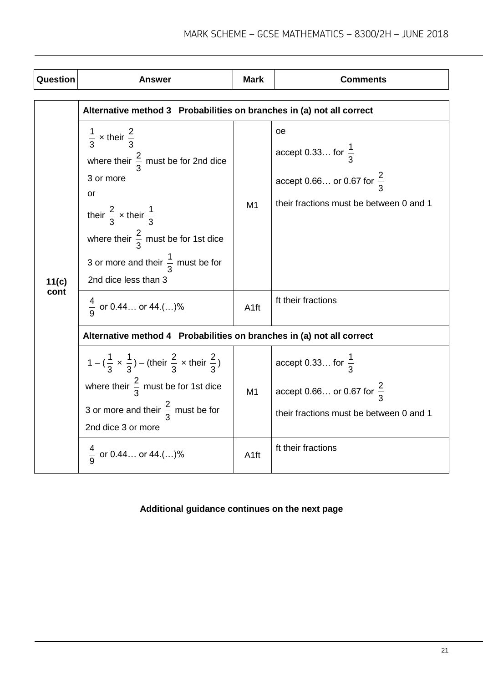| Question      | <b>Answer</b>                                                                                                                                                                                                                                                                                                       | <b>Mark</b>            | <b>Comments</b>                                                                                                                               |  |
|---------------|---------------------------------------------------------------------------------------------------------------------------------------------------------------------------------------------------------------------------------------------------------------------------------------------------------------------|------------------------|-----------------------------------------------------------------------------------------------------------------------------------------------|--|
|               | Alternative method 3 Probabilities on branches in (a) not all correct                                                                                                                                                                                                                                               |                        |                                                                                                                                               |  |
| 11(c)<br>cont | $\frac{1}{3}$ x their $\frac{2}{3}$<br>where their $\frac{2}{3}$ must be for 2nd dice<br>3 or more<br>or<br>their $\frac{2}{3}$ x their $\frac{1}{3}$<br>where their $\frac{2}{3}$ must be for 1st dice<br>3 or more and their $\frac{1}{3}$ must be for<br>2nd dice less than 3<br>$\frac{4}{9}$ or 0.44 or 44.()% | M1<br>A <sub>1ft</sub> | oe<br>accept 0.33 for $\frac{1}{3}$<br>accept 0.66 or 0.67 for $\frac{2}{3}$<br>their fractions must be between 0 and 1<br>ft their fractions |  |
|               |                                                                                                                                                                                                                                                                                                                     |                        |                                                                                                                                               |  |
|               | Alternative method 4 Probabilities on branches in (a) not all correct                                                                                                                                                                                                                                               |                        |                                                                                                                                               |  |
|               | $1 - (\frac{1}{3} \times \frac{1}{3}) -$ (their $\frac{2}{3} \times$ their $\frac{2}{3}$ )                                                                                                                                                                                                                          |                        | accept 0.33 for $\frac{1}{3}$                                                                                                                 |  |
|               | where their $\frac{2}{3}$ must be for 1st dice                                                                                                                                                                                                                                                                      | M <sub>1</sub>         | accept 0.66 or 0.67 for $\frac{2}{3}$                                                                                                         |  |
|               | 3 or more and their $\frac{2}{3}$ must be for<br>2nd dice 3 or more                                                                                                                                                                                                                                                 |                        | their fractions must be between 0 and 1                                                                                                       |  |
|               | $\frac{4}{9}$ or 0.44 or 44.()%                                                                                                                                                                                                                                                                                     | A <sub>1ft</sub>       | ft their fractions                                                                                                                            |  |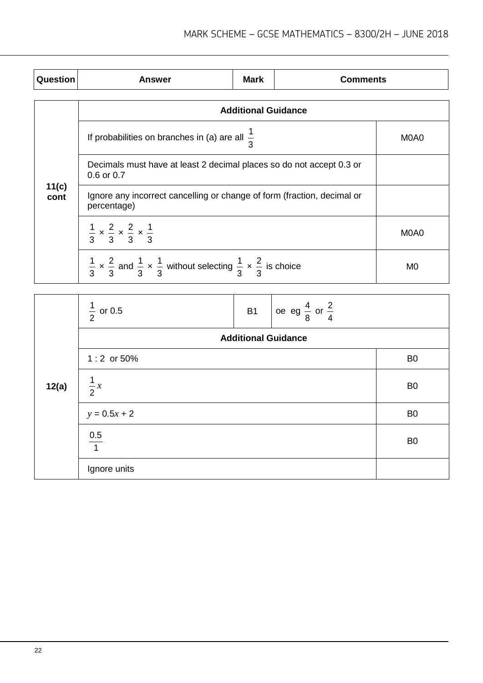| Question      | <b>Answer</b>                                                                                                                      | Mark                       | <b>Comments</b> |      |
|---------------|------------------------------------------------------------------------------------------------------------------------------------|----------------------------|-----------------|------|
|               |                                                                                                                                    | <b>Additional Guidance</b> |                 |      |
|               | If probabilities on branches in (a) are all $\frac{1}{2}$                                                                          | M0A0                       |                 |      |
|               | Decimals must have at least 2 decimal places so do not accept 0.3 or<br>0.6 or 0.7                                                 |                            |                 |      |
| 11(c)<br>cont | Ignore any incorrect cancelling or change of form (fraction, decimal or<br>percentage)                                             |                            |                 |      |
|               | $\frac{1}{3} \times \frac{2}{3} \times \frac{2}{3} \times \frac{1}{3}$                                                             |                            |                 | M0A0 |
|               | $\frac{1}{3} \times \frac{2}{3}$ and $\frac{1}{3} \times \frac{1}{3}$ without selecting $\frac{1}{3} \times \frac{2}{3}$ is choice |                            |                 | M0   |

|       | $\frac{1}{2}$ or 0.5 | <b>B1</b> | $\cos$ eg $\frac{4}{8}$ or $\frac{2}{4}$ |                |
|-------|----------------------|-----------|------------------------------------------|----------------|
|       |                      |           | <b>Additional Guidance</b>               |                |
|       | $1:2$ or 50%         |           |                                          | B <sub>0</sub> |
| 12(a) | $\frac{1}{2}x$       |           |                                          | B <sub>0</sub> |
|       | $y = 0.5x + 2$       |           |                                          | B <sub>0</sub> |
|       | $\frac{0.5}{1}$      |           |                                          | B <sub>0</sub> |
|       | Ignore units         |           |                                          |                |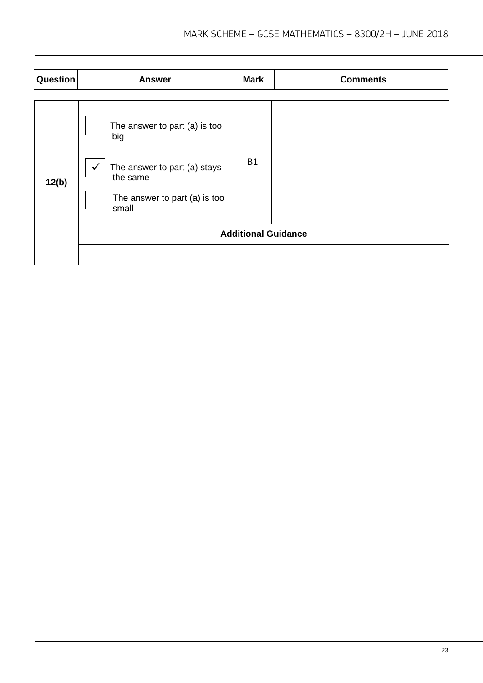| Question | <b>Answer</b>                                                                                                              | <b>Mark</b>                | <b>Comments</b> |
|----------|----------------------------------------------------------------------------------------------------------------------------|----------------------------|-----------------|
| 12(b)    | The answer to part (a) is too<br>big<br>The answer to part (a) stays<br>the same<br>The answer to part (a) is too<br>small | <b>B1</b>                  |                 |
|          |                                                                                                                            | <b>Additional Guidance</b> |                 |
|          |                                                                                                                            |                            |                 |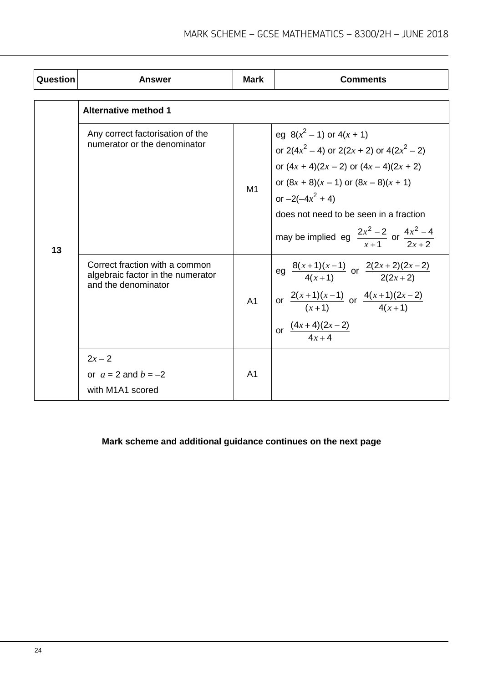| Question | <b>Answer</b>                                                                              | <b>Mark</b>    | <b>Comments</b>                                                                                                                                                                                                                                                                                                  |
|----------|--------------------------------------------------------------------------------------------|----------------|------------------------------------------------------------------------------------------------------------------------------------------------------------------------------------------------------------------------------------------------------------------------------------------------------------------|
|          | <b>Alternative method 1</b>                                                                |                |                                                                                                                                                                                                                                                                                                                  |
| 13       | Any correct factorisation of the<br>numerator or the denominator                           | M1             | eg $8(x^2 - 1)$ or $4(x + 1)$<br>or $2(4x^2 - 4)$ or $2(2x + 2)$ or $4(2x^2 - 2)$<br>or $(4x + 4)(2x - 2)$ or $(4x - 4)(2x + 2)$<br>or $(8x + 8)(x - 1)$ or $(8x - 8)(x + 1)$<br>or $-2(-4x^2 + 4)$<br>does not need to be seen in a fraction<br>may be implied eg $\frac{2x^2-2}{x+1}$ or $\frac{4x^2-4}{2x+2}$ |
|          | Correct fraction with a common<br>algebraic factor in the numerator<br>and the denominator | A1             | eg $\frac{8(x+1)(x-1)}{4(x+1)}$ or $\frac{2(2x+2)(2x-2)}{2(2x+2)}$<br>or $\frac{2(x+1)(x-1)}{(x+1)}$ or $\frac{4(x+1)(2x-2)}{4(x+1)}$<br>or $\frac{(4x+4)(2x-2)}{4x+4}$                                                                                                                                          |
|          | $2x - 2$<br>or $a = 2$ and $b = -2$<br>with M1A1 scored                                    | A <sub>1</sub> |                                                                                                                                                                                                                                                                                                                  |

# **Mark scheme and additional guidance continues on the next page**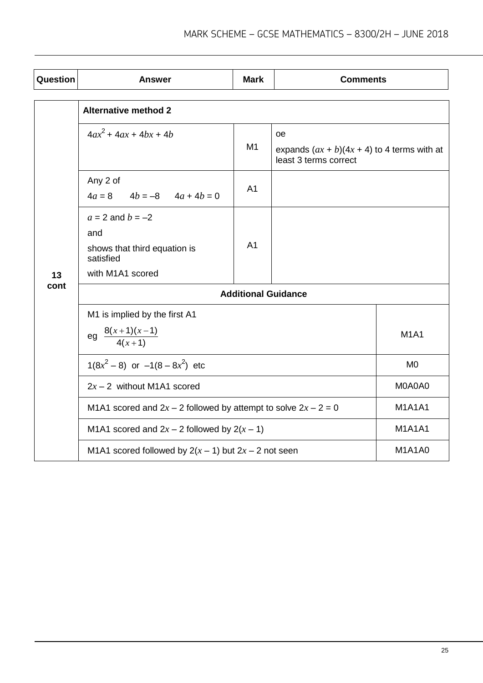| Question | <b>Answer</b>                                                                                | <b>Mark</b>    | <b>Comments</b>                                                              |                |  |
|----------|----------------------------------------------------------------------------------------------|----------------|------------------------------------------------------------------------------|----------------|--|
|          | <b>Alternative method 2</b>                                                                  |                |                                                                              |                |  |
| 13       | $4ax^2 + 4ax + 4bx + 4b$                                                                     | M <sub>1</sub> | oe<br>expands $(ax + b)(4x + 4)$ to 4 terms with at<br>least 3 terms correct |                |  |
|          | Any 2 of<br>$4a = 8$ $4b = -8$ $4a + 4b = 0$                                                 | A <sub>1</sub> |                                                                              |                |  |
|          | $a = 2$ and $b = -2$<br>and<br>shows that third equation is<br>satisfied<br>with M1A1 scored | A <sub>1</sub> |                                                                              |                |  |
| cont     | <b>Additional Guidance</b>                                                                   |                |                                                                              |                |  |
|          | M1 is implied by the first A1<br>eg $\frac{8(x+1)(x-1)}{4(x+1)}$                             |                |                                                                              | <b>M1A1</b>    |  |
|          | $1(8x^2-8)$ or $-1(8-8x^2)$ etc                                                              |                |                                                                              | M <sub>0</sub> |  |
|          | $2x - 2$ without M1A1 scored                                                                 |                |                                                                              | M0A0A0         |  |
|          | M1A1 scored and $2x - 2$ followed by attempt to solve $2x - 2 = 0$                           |                |                                                                              | <b>M1A1A1</b>  |  |
|          | M1A1 scored and $2x - 2$ followed by $2(x - 1)$                                              |                |                                                                              | <b>M1A1A1</b>  |  |
|          | M1A1 scored followed by $2(x - 1)$ but $2x - 2$ not seen                                     |                |                                                                              | <b>M1A1A0</b>  |  |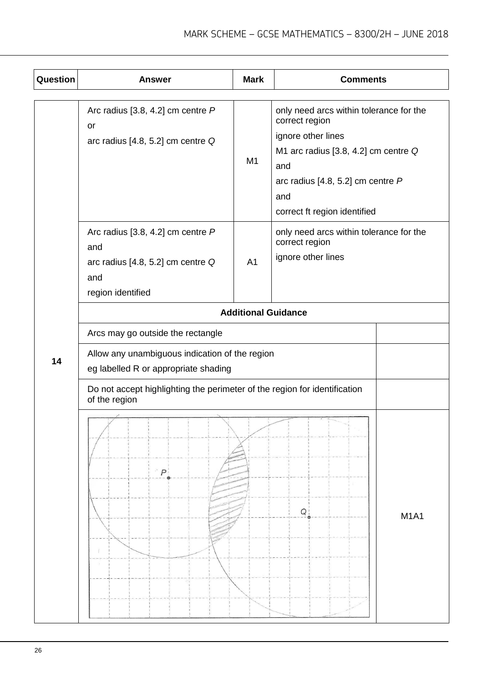| Question | <b>Answer</b>                                                                                               | <b>Mark</b>    | <b>Comments</b>                                                                                                                                                                                              |  |  |
|----------|-------------------------------------------------------------------------------------------------------------|----------------|--------------------------------------------------------------------------------------------------------------------------------------------------------------------------------------------------------------|--|--|
|          | Arc radius [3.8, 4.2] cm centre $P$<br>or<br>arc radius [4.8, 5.2] cm centre Q                              | M1             | only need arcs within tolerance for the<br>correct region<br>ignore other lines<br>M1 arc radius [3.8, 4.2] cm centre Q<br>and<br>arc radius [4.8, 5.2] cm centre $P$<br>and<br>correct ft region identified |  |  |
|          | Arc radius [3.8, 4.2] cm centre $P$<br>and<br>arc radius [4.8, 5.2] cm centre Q<br>and<br>region identified | A <sub>1</sub> | only need arcs within tolerance for the<br>correct region<br>ignore other lines                                                                                                                              |  |  |
|          | <b>Additional Guidance</b>                                                                                  |                |                                                                                                                                                                                                              |  |  |
|          | Arcs may go outside the rectangle                                                                           |                |                                                                                                                                                                                                              |  |  |
| 14       | Allow any unambiguous indication of the region<br>eg labelled R or appropriate shading                      |                |                                                                                                                                                                                                              |  |  |
|          | Do not accept highlighting the perimeter of the region for identification<br>of the region                  |                |                                                                                                                                                                                                              |  |  |
|          | P                                                                                                           |                | ${\cal Q}$<br><b>M1A1</b>                                                                                                                                                                                    |  |  |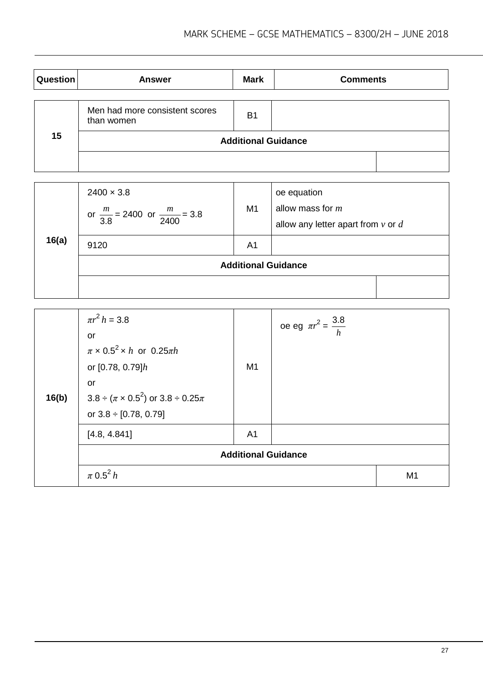| Question | <b>Answer</b>                                | <b>Mark</b>                | <b>Comments</b> |
|----------|----------------------------------------------|----------------------------|-----------------|
|          | Men had more consistent scores<br>than women | <b>B1</b>                  |                 |
| 15       |                                              | <b>Additional Guidance</b> |                 |
|          |                                              |                            |                 |

| 16(a) | $2400 \times 3.8$<br>or $\frac{m}{3.8}$ = 2400 or $\frac{m}{2400}$ = 3.8 | M <sub>1</sub> | oe equation<br>allow mass for $m$<br>allow any letter apart from $v$ or $d$ |
|-------|--------------------------------------------------------------------------|----------------|-----------------------------------------------------------------------------|
|       | 9120                                                                     | A <sub>1</sub> |                                                                             |
|       | <b>Additional Guidance</b>                                               |                |                                                                             |
|       |                                                                          |                |                                                                             |

| 16(b) | $\pi r^2 h = 3.8$<br>or<br>$\pi \times 0.5^2 \times h$ or 0.25 $\pi h$<br>or $[0.78, 0.79]h$<br>or<br>$3.8 \div (\pi \times 0.5^2)$ or $3.8 \div 0.25\pi$<br>or $3.8 \div [0.78, 0.79]$ | M1                         | oe eg $\pi r^2 = \frac{3.8}{h}$ |                |
|-------|-----------------------------------------------------------------------------------------------------------------------------------------------------------------------------------------|----------------------------|---------------------------------|----------------|
|       | [4.8, 4.841]                                                                                                                                                                            | A <sub>1</sub>             |                                 |                |
|       |                                                                                                                                                                                         | <b>Additional Guidance</b> |                                 |                |
|       | $\pi$ 0.5 <sup>2</sup> h                                                                                                                                                                |                            |                                 | M <sub>1</sub> |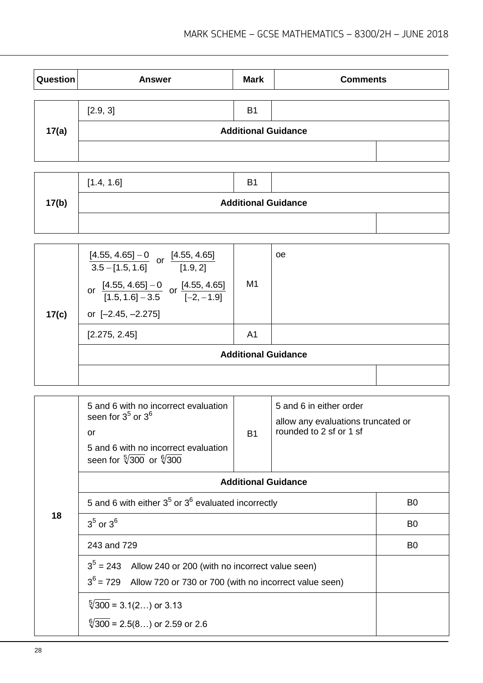| Question | <b>Answer</b> | <b>Mark</b>                | <b>Comments</b> |  |
|----------|---------------|----------------------------|-----------------|--|
|          |               |                            |                 |  |
| 17(a)    | [2.9, 3]      | B <sub>1</sub>             |                 |  |
|          |               | <b>Additional Guidance</b> |                 |  |
|          |               |                            |                 |  |

|       | [1.4, 1.6]                 | B <sub>1</sub> |  |  |  |  |
|-------|----------------------------|----------------|--|--|--|--|
| 17(b) | <b>Additional Guidance</b> |                |  |  |  |  |
|       |                            |                |  |  |  |  |

| 17(c) | $\frac{[4.55, 4.65] - 0}{3.5 - [1.5, 1.6]}$ or $\frac{[4.55, 4.65]}{[1.9, 2]}$<br>$\frac{[4.55, 4.65] - 0}{[1.5, 1.6] - 3.5}$ or $\frac{[4.55, 4.65]}{[-2, -1.9]}$<br>or<br>or $[-2.45, -2.275]$ | M <sub>1</sub>             | oe |
|-------|--------------------------------------------------------------------------------------------------------------------------------------------------------------------------------------------------|----------------------------|----|
|       | [2.275, 2.45]                                                                                                                                                                                    | A <sub>1</sub>             |    |
|       |                                                                                                                                                                                                  | <b>Additional Guidance</b> |    |
|       |                                                                                                                                                                                                  |                            |    |

|    | 5 and 6 with no incorrect evaluation<br>seen for $3^5$ or $3^6$<br>or<br>5 and 6 with no incorrect evaluation<br>seen for $\sqrt[5]{300}$ or $\sqrt[6]{300}$ | <b>B1</b>      | 5 and 6 in either order<br>allow any evaluations truncated or<br>rounded to 2 sf or 1 sf |                |
|----|--------------------------------------------------------------------------------------------------------------------------------------------------------------|----------------|------------------------------------------------------------------------------------------|----------------|
|    | <b>Additional Guidance</b>                                                                                                                                   |                |                                                                                          |                |
|    | 5 and 6 with either $3^5$ or $3^6$ evaluated incorrectly                                                                                                     |                |                                                                                          | B <sub>0</sub> |
| 18 | $35$ or $36$                                                                                                                                                 | B <sub>0</sub> |                                                                                          |                |
|    | 243 and 729                                                                                                                                                  | B <sub>0</sub> |                                                                                          |                |
|    | $35$ = 243 Allow 240 or 200 (with no incorrect value seen)<br>$3^6$ = 729<br>Allow 720 or 730 or 700 (with no incorrect value seen)                          |                |                                                                                          |                |
|    | $\sqrt[5]{300}$ = 3.1(2) or 3.13                                                                                                                             |                |                                                                                          |                |
|    | $\sqrt[6]{300}$ = 2.5(8) or 2.59 or 2.6                                                                                                                      |                |                                                                                          |                |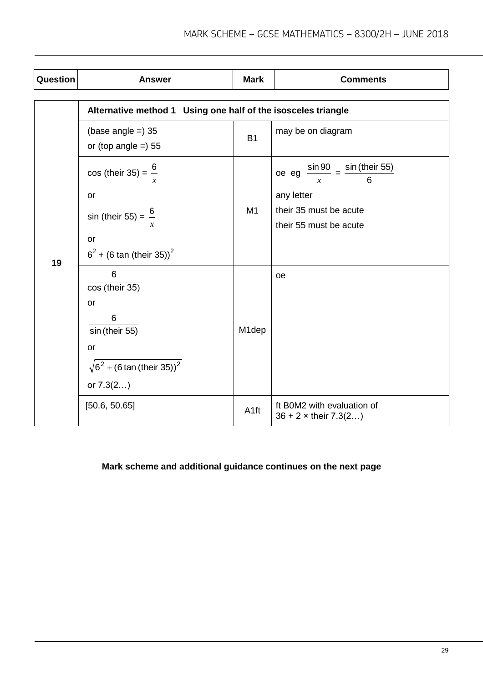| Question | <b>Answer</b>                                                 | <b>Mark</b>      | <b>Comments</b>                                               |
|----------|---------------------------------------------------------------|------------------|---------------------------------------------------------------|
|          | Alternative method 1 Using one half of the isosceles triangle |                  |                                                               |
|          | (base angle $=$ ) 35<br>or (top angle $=$ ) 55                | <b>B1</b>        | may be on diagram                                             |
|          | $cos (their 35) = \frac{6}{x}$                                |                  | oe eg $\frac{\sin 90}{x} = \frac{\sin (\text{their } 55)}{6}$ |
|          | or                                                            |                  | any letter                                                    |
| 19       | sin (their 55) = $\frac{6}{5}$                                | M1               | their 35 must be acute<br>their 55 must be acute              |
|          | or                                                            |                  |                                                               |
|          | $6^2$ + (6 tan (their 35)) <sup>2</sup>                       |                  |                                                               |
|          | 6<br>$\overline{\cos$ (their 35)                              |                  | oe                                                            |
|          | <b>or</b>                                                     |                  |                                                               |
|          | 6                                                             |                  |                                                               |
|          | sin (their 55)                                                | M1dep            |                                                               |
|          | or                                                            |                  |                                                               |
|          | $\sqrt{6^2 + (6 \tan{(\text{their } 35)})^2}$                 |                  |                                                               |
|          | or $7.3(2)$                                                   |                  |                                                               |
|          | [50.6, 50.65]                                                 | A <sub>1ft</sub> | ft B0M2 with evaluation of<br>$36 + 2 \times$ their $7.3(2)$  |

## **Mark scheme and additional guidance continues on the next page**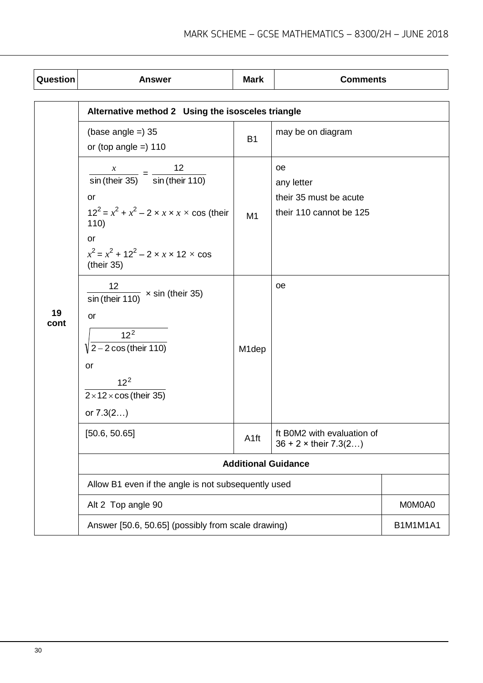| Question   | <b>Answer</b>                                                                                                                                                                                                                                                           | <b>Mark</b>        | <b>Comments</b>                                                       |                 |
|------------|-------------------------------------------------------------------------------------------------------------------------------------------------------------------------------------------------------------------------------------------------------------------------|--------------------|-----------------------------------------------------------------------|-----------------|
|            | Alternative method 2 Using the isosceles triangle                                                                                                                                                                                                                       |                    |                                                                       |                 |
|            | (base angle $=$ ) 35<br>or (top angle $=$ ) 110                                                                                                                                                                                                                         | <b>B1</b>          | may be on diagram                                                     |                 |
|            | 12<br>$\frac{x}{1}$ = $\frac{1}{x}$<br>$\frac{1}{\sin(\text{their }35)}$ = $\frac{1}{\sin(\text{their }110)}$<br>or<br>$12^2 = x^2 + x^2 - 2 \times x \times x \times \cos$ (their<br>110)<br>or<br>$x^2 = x^2 + 12^2 - 2 \times x \times 12 \times \cos$<br>(their 35) | M <sub>1</sub>     | oe<br>any letter<br>their 35 must be acute<br>their 110 cannot be 125 |                 |
| 19<br>cont | 12 <sup>2</sup><br>$\frac{1}{\sin(\text{their }110)} \times \sin(\text{their }35)$<br>or<br>12 <sup>2</sup><br>$\sqrt{2-2\cos(\text{their }110)}$<br>or<br>$12^2$<br>$2 \times 12 \times \cos$ (their 35)<br>or $7.3(2)$                                                | M <sub>1</sub> dep | oe                                                                    |                 |
|            | [50.6, 50.65]                                                                                                                                                                                                                                                           | A <sub>1ft</sub>   | ft B0M2 with evaluation of<br>$36 + 2 \times$ their $7.3(2)$          |                 |
|            |                                                                                                                                                                                                                                                                         |                    | <b>Additional Guidance</b>                                            |                 |
|            | Allow B1 even if the angle is not subsequently used                                                                                                                                                                                                                     |                    |                                                                       |                 |
|            | Alt 2 Top angle 90                                                                                                                                                                                                                                                      |                    |                                                                       | M0M0A0          |
|            | Answer [50.6, 50.65] (possibly from scale drawing)                                                                                                                                                                                                                      |                    |                                                                       | <b>B1M1M1A1</b> |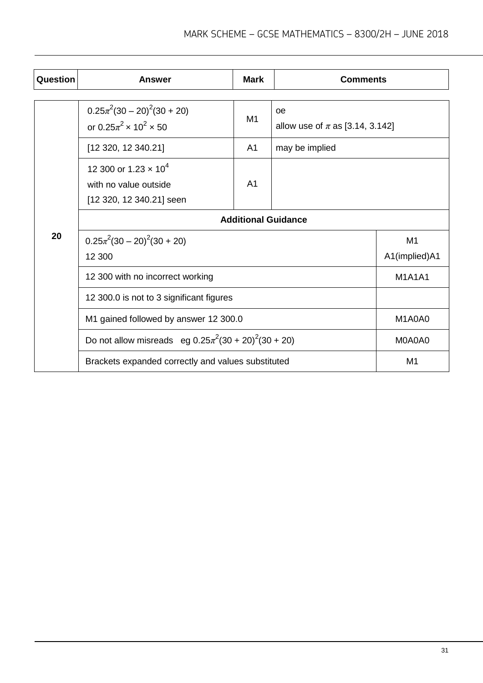| Question | Answer                                                                                       | <b>Mark</b>    | <b>Comments</b>                           |                     |
|----------|----------------------------------------------------------------------------------------------|----------------|-------------------------------------------|---------------------|
|          | $0.25\pi^2(30-20)^2(30+20)$<br>or $0.25\pi^2 \times 10^2 \times 50$                          | M1             | oe<br>allow use of $\pi$ as [3.14, 3.142] |                     |
|          | [12 320, 12 340.21]                                                                          | A <sub>1</sub> | may be implied                            |                     |
|          | 12 300 or 1.23 $\times$ 10 <sup>4</sup><br>with no value outside<br>[12 320, 12 340.21] seen | A <sub>1</sub> |                                           |                     |
|          | <b>Additional Guidance</b>                                                                   |                |                                           |                     |
| 20       | $0.25\pi^2(30-20)^2(30+20)$<br>12 300                                                        |                |                                           | M1<br>A1(implied)A1 |
|          | 12 300 with no incorrect working                                                             |                |                                           |                     |
|          | 12 300.0 is not to 3 significant figures                                                     |                |                                           |                     |
|          | M1 gained followed by answer 12 300.0                                                        |                | M1A0A0                                    |                     |
|          | Do not allow misreads eg $0.25\pi^2(30 + 20)^2(30 + 20)$                                     |                |                                           | M0A0A0              |
|          | Brackets expanded correctly and values substituted                                           |                |                                           | M1                  |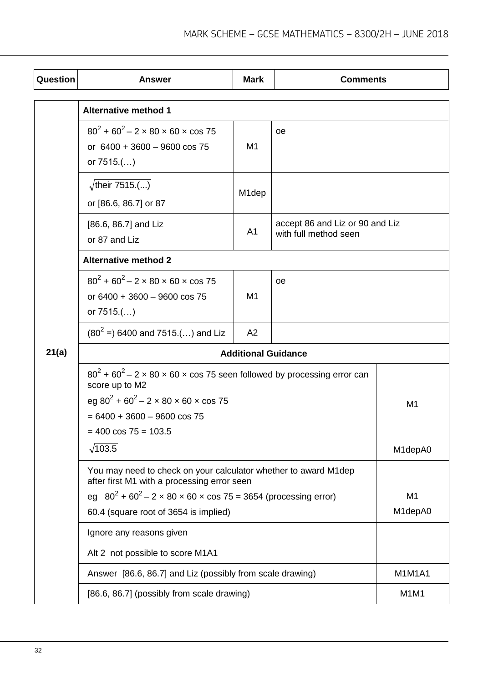| Question | <b>Answer</b>                                                                                                                                                                                                              | <b>Mark</b>        | <b>Comments</b>                                          |                      |  |
|----------|----------------------------------------------------------------------------------------------------------------------------------------------------------------------------------------------------------------------------|--------------------|----------------------------------------------------------|----------------------|--|
|          | <b>Alternative method 1</b>                                                                                                                                                                                                |                    |                                                          |                      |  |
|          | $80^{2}$ + 60 <sup>2</sup> – 2 × 80 × 60 × cos 75<br>or $6400 + 3600 - 9600 \cos 75$<br>or $7515$ .()                                                                                                                      | M1                 | oе                                                       |                      |  |
|          | $\sqrt{\text{their } 7515}$ .()<br>or [86.6, 86.7] or 87                                                                                                                                                                   | M <sub>1</sub> dep |                                                          |                      |  |
|          | $[86.6, 86.7]$ and Liz<br>or 87 and Liz                                                                                                                                                                                    | A <sub>1</sub>     | accept 86 and Liz or 90 and Liz<br>with full method seen |                      |  |
|          | <b>Alternative method 2</b>                                                                                                                                                                                                |                    |                                                          |                      |  |
|          | $80^2$ + 60 <sup>2</sup> – 2 × 80 × 60 × cos 75<br>or $6400 + 3600 - 9600 \cos 75$<br>or $7515$ .()                                                                                                                        | M <sub>1</sub>     | оe                                                       |                      |  |
|          | $(80^2)$ = 6400 and 7515.() and Liz                                                                                                                                                                                        | A2                 |                                                          |                      |  |
| 21(a)    | <b>Additional Guidance</b>                                                                                                                                                                                                 |                    |                                                          |                      |  |
|          | $80^2$ + 60 <sup>2</sup> – 2 x 80 x 60 x cos 75 seen followed by processing error can<br>score up to M2<br>eg $80^2$ + 60 <sup>2</sup> – 2 × 80 × 60 × cos 75<br>$= 6400 + 3600 - 9600 \cos 75$<br>$= 400 \cos 75 = 103.5$ | M <sub>1</sub>     |                                                          |                      |  |
|          | $\sqrt{103.5}$                                                                                                                                                                                                             |                    |                                                          | M <sub>1</sub> depA0 |  |
|          | You may need to check on your calculator whether to award M1dep<br>after first M1 with a processing error seen                                                                                                             |                    |                                                          |                      |  |
|          | eg $80^2 + 60^2 - 2 \times 80 \times 60 \times \cos 75 = 3654$ (processing error)                                                                                                                                          |                    | M <sub>1</sub>                                           |                      |  |
|          | 60.4 (square root of 3654 is implied)                                                                                                                                                                                      |                    | M1depA0                                                  |                      |  |
|          | Ignore any reasons given                                                                                                                                                                                                   |                    |                                                          |                      |  |
|          | Alt 2 not possible to score M1A1                                                                                                                                                                                           |                    |                                                          |                      |  |
|          | Answer [86.6, 86.7] and Liz (possibly from scale drawing)                                                                                                                                                                  |                    |                                                          | <b>M1M1A1</b>        |  |
|          | [86.6, 86.7] (possibly from scale drawing)                                                                                                                                                                                 |                    |                                                          | M1M1                 |  |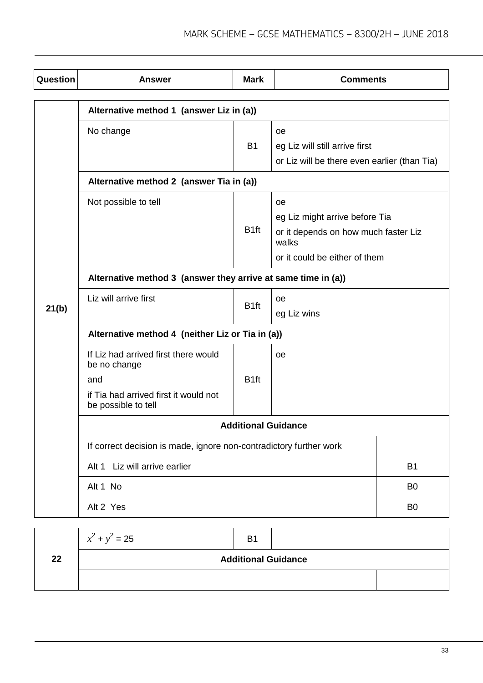| Question | <b>Answer</b>                                                      | <b>Mark</b>      | <b>Comments</b>                               |                |  |
|----------|--------------------------------------------------------------------|------------------|-----------------------------------------------|----------------|--|
|          | Alternative method 1 (answer Liz in (a))                           |                  |                                               |                |  |
|          | No change                                                          | <b>B1</b>        | <b>oe</b><br>eg Liz will still arrive first   |                |  |
|          | Alternative method 2 (answer Tia in (a))                           |                  | or Liz will be there even earlier (than Tia)  |                |  |
|          |                                                                    |                  |                                               |                |  |
|          | Not possible to tell                                               |                  | <b>oe</b>                                     |                |  |
|          |                                                                    | B <sub>1ft</sub> | eg Liz might arrive before Tia                |                |  |
|          |                                                                    |                  | or it depends on how much faster Liz<br>walks |                |  |
|          |                                                                    |                  | or it could be either of them                 |                |  |
|          | Alternative method 3 (answer they arrive at same time in (a))      |                  |                                               |                |  |
|          | Liz will arrive first                                              |                  | оe                                            |                |  |
| 21(b)    | B <sub>1ft</sub>                                                   | eg Liz wins      |                                               |                |  |
|          | Alternative method 4 (neither Liz or Tia in (a))                   |                  |                                               |                |  |
|          | If Liz had arrived first there would<br>be no change               |                  | оe                                            |                |  |
|          | and                                                                | B <sub>1ft</sub> |                                               |                |  |
|          | if Tia had arrived first it would not<br>be possible to tell       |                  |                                               |                |  |
|          | <b>Additional Guidance</b>                                         |                  |                                               |                |  |
|          | If correct decision is made, ignore non-contradictory further work |                  |                                               |                |  |
|          | Liz will arrive earlier<br>Alt 1                                   |                  |                                               | <b>B1</b>      |  |
|          | Alt 1 No                                                           |                  |                                               | B <sub>0</sub> |  |
|          | Alt 2 Yes                                                          |                  |                                               | B <sub>0</sub> |  |

|    | $x^2 + y^2 = 25$ | B <sub>1</sub>             |  |
|----|------------------|----------------------------|--|
| 22 |                  | <b>Additional Guidance</b> |  |
|    |                  |                            |  |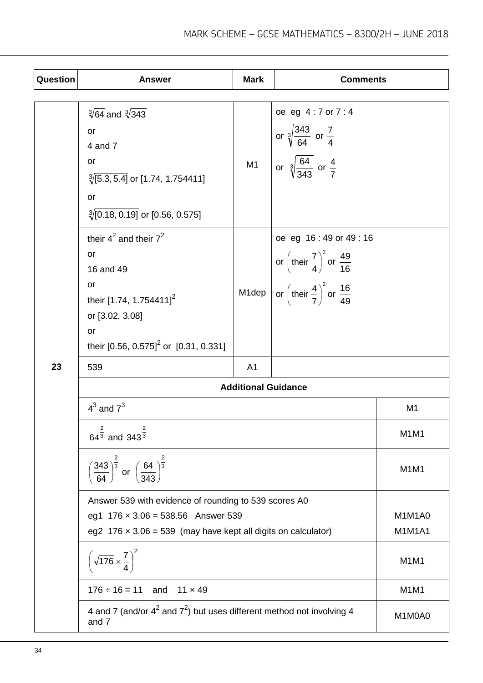| Question | <b>Answer</b>                                                                                                                                                              | <b>Mark</b>                | <b>Comments</b>                                                                                                                                              |        |
|----------|----------------------------------------------------------------------------------------------------------------------------------------------------------------------------|----------------------------|--------------------------------------------------------------------------------------------------------------------------------------------------------------|--------|
|          | $\sqrt[3]{64}$ and $\sqrt[3]{343}$<br>or<br>4 and 7<br>or<br>$\sqrt[3]{[5.3, 5.4]}$ or [1.74, 1.754411]<br>or<br>$\sqrt[3]{[0.18, 0.19]}$ or [0.56, 0.575]                 | M1                         | oe eg 4:7 or 7:4<br>or $\sqrt[3]{\frac{343}{64}}$ or $\frac{7}{4}$<br>or $\sqrt[3]{\frac{64}{343}}$ or $\frac{4}{7}$                                         |        |
|          | their $4^2$ and their $7^2$<br>or<br>16 and 49<br>or<br>their [1.74, 1.754411] <sup>2</sup><br>or [3.02, 3.08]<br>or<br>their [0.56, 0.575] <sup>2</sup> or [0.31, 0.331]  | M1dep                      | oe eg 16:49 or 49:16<br>or $\left(\text{their } \frac{7}{4}\right)^2$ or $\frac{49}{16}$<br>or $\left(\text{their } \frac{4}{7}\right)^2$ or $\frac{16}{49}$ |        |
| 23       | 539                                                                                                                                                                        | A <sub>1</sub>             |                                                                                                                                                              |        |
|          | $4^3$ and $7^3$                                                                                                                                                            | <b>Additional Guidance</b> | M <sub>1</sub>                                                                                                                                               |        |
|          | $\overline{\mathbf{c}}$<br>$\overline{c}$<br>64 <sup>3</sup> and 343 $\frac{3}{3}$                                                                                         |                            | M <sub>1</sub> M <sub>1</sub>                                                                                                                                |        |
|          | $\left(\frac{343}{64}\right)^{\frac{2}{3}}$ or $\left(\frac{64}{343}\right)^{\frac{2}{3}}$                                                                                 |                            | M <sub>1</sub> M <sub>1</sub>                                                                                                                                |        |
|          | Answer 539 with evidence of rounding to 539 scores A0<br>eg1 $176 \times 3.06 = 538.56$ Answer 539<br>eg2 $176 \times 3.06 = 539$ (may have kept all digits on calculator) |                            | M1M1A0<br><b>M1M1A1</b>                                                                                                                                      |        |
|          | $\left(\sqrt{176}\times\frac{7}{4}\right)^2$                                                                                                                               |                            | M <sub>1</sub> M <sub>1</sub>                                                                                                                                |        |
|          | $176 \div 16 = 11$<br>and<br>$11 \times 49$                                                                                                                                |                            |                                                                                                                                                              | M1M1   |
|          | 4 and 7 (and/or $4^2$ and $7^2$ ) but uses different method not involving 4<br>and 7                                                                                       |                            |                                                                                                                                                              | M1M0A0 |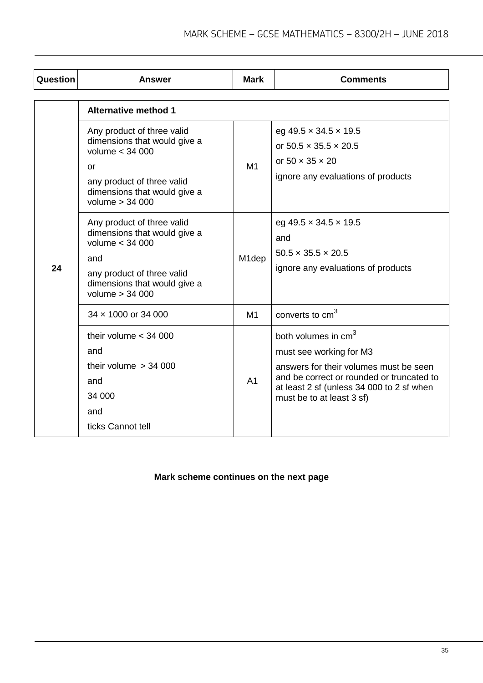| <b>Question</b> | <b>Answer</b>                                                                                                                                                            | <b>Mark</b>        | <b>Comments</b>                                                                                                                                                                                                             |
|-----------------|--------------------------------------------------------------------------------------------------------------------------------------------------------------------------|--------------------|-----------------------------------------------------------------------------------------------------------------------------------------------------------------------------------------------------------------------------|
|                 | <b>Alternative method 1</b>                                                                                                                                              |                    |                                                                                                                                                                                                                             |
|                 | Any product of three valid<br>dimensions that would give a<br>volume $<$ 34 000<br>or<br>any product of three valid<br>dimensions that would give a<br>volume $> 34000$  | M1                 | eg 49.5 $\times$ 34.5 $\times$ 19.5<br>or $50.5 \times 35.5 \times 20.5$<br>or 50 $\times$ 35 $\times$ 20<br>ignore any evaluations of products                                                                             |
| 24              | Any product of three valid<br>dimensions that would give a<br>volume $<$ 34 000<br>and<br>any product of three valid<br>dimensions that would give a<br>volume $> 34000$ | M <sub>1</sub> dep | eg 49.5 $\times$ 34.5 $\times$ 19.5<br>and<br>$50.5 \times 35.5 \times 20.5$<br>ignore any evaluations of products                                                                                                          |
|                 | 34 x 1000 or 34 000                                                                                                                                                      | M1                 | converts to cm <sup>3</sup>                                                                                                                                                                                                 |
|                 | their volume $<$ 34 000<br>and<br>their volume $> 34000$<br>and<br>34 000<br>and<br>ticks Cannot tell                                                                    | A <sub>1</sub>     | both volumes in cm <sup>3</sup><br>must see working for M3<br>answers for their volumes must be seen<br>and be correct or rounded or truncated to<br>at least 2 sf (unless 34 000 to 2 sf when<br>must be to at least 3 sf) |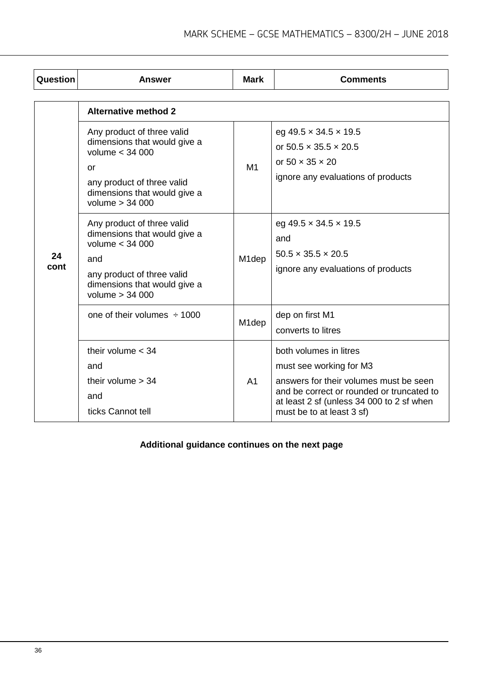| Question   | Answer                                                                                                                                                                   | <b>Mark</b>        | <b>Comments</b>                                                                                                                                                                                                    |
|------------|--------------------------------------------------------------------------------------------------------------------------------------------------------------------------|--------------------|--------------------------------------------------------------------------------------------------------------------------------------------------------------------------------------------------------------------|
|            | <b>Alternative method 2</b>                                                                                                                                              |                    |                                                                                                                                                                                                                    |
| 24<br>cont | Any product of three valid<br>dimensions that would give a<br>volume < 34 000<br>or<br>any product of three valid<br>dimensions that would give a<br>volume > 34 000     | M1                 | eg 49.5 $\times$ 34.5 $\times$ 19.5<br>or 50.5 $\times$ 35.5 $\times$ 20.5<br>or $50 \times 35 \times 20$<br>ignore any evaluations of products                                                                    |
|            | Any product of three valid<br>dimensions that would give a<br>volume $<$ 34 000<br>and<br>any product of three valid<br>dimensions that would give a<br>volume $> 34000$ | M <sub>1</sub> dep | eg 49.5 $\times$ 34.5 $\times$ 19.5<br>and<br>$50.5 \times 35.5 \times 20.5$<br>ignore any evaluations of products                                                                                                 |
|            | one of their volumes $\div$ 1000                                                                                                                                         | M <sub>1</sub> dep | dep on first M1<br>converts to litres                                                                                                                                                                              |
|            | their volume $<$ 34<br>and<br>their volume $> 34$<br>and<br>ticks Cannot tell                                                                                            | A <sub>1</sub>     | both volumes in litres<br>must see working for M3<br>answers for their volumes must be seen<br>and be correct or rounded or truncated to<br>at least 2 sf (unless 34 000 to 2 sf when<br>must be to at least 3 sf) |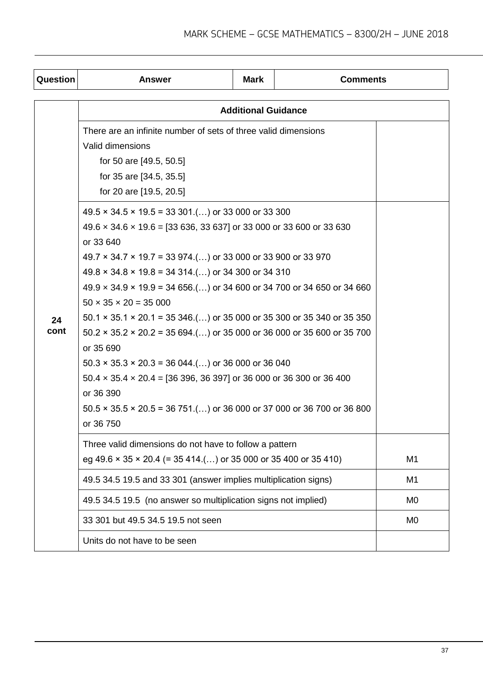| Question   | <b>Answer</b>                                                                                                                                                                                                                                                                                                                                                                                                                                                                                                                                                                                                                                                                                                                                                                                                                                                                                                                                                                                                                                            | Mark                       | <b>Comments</b> |                |  |  |
|------------|----------------------------------------------------------------------------------------------------------------------------------------------------------------------------------------------------------------------------------------------------------------------------------------------------------------------------------------------------------------------------------------------------------------------------------------------------------------------------------------------------------------------------------------------------------------------------------------------------------------------------------------------------------------------------------------------------------------------------------------------------------------------------------------------------------------------------------------------------------------------------------------------------------------------------------------------------------------------------------------------------------------------------------------------------------|----------------------------|-----------------|----------------|--|--|
|            |                                                                                                                                                                                                                                                                                                                                                                                                                                                                                                                                                                                                                                                                                                                                                                                                                                                                                                                                                                                                                                                          | <b>Additional Guidance</b> |                 |                |  |  |
| 24<br>cont | There are an infinite number of sets of three valid dimensions<br>Valid dimensions<br>for 50 are [49.5, 50.5]<br>for 35 are [34.5, 35.5]<br>for 20 are [19.5, 20.5]<br>$49.5 \times 34.5 \times 19.5 = 33301()$ or 33 000 or 33 300<br>49.6 x 34.6 x 19.6 = [33 636, 33 637] or 33 000 or 33 600 or 33 630<br>or 33 640<br>$49.7 \times 34.7 \times 19.7 = 33974$ .() or 33 000 or 33 900 or 33 970<br>$49.8 \times 34.8 \times 19.8 = 34314$ .() or 34 300 or 34 310<br>$49.9 \times 34.9 \times 19.9 = 34656$ ) or 34 600 or 34 700 or 34 650 or 34 660<br>$50 \times 35 \times 20 = 35000$<br>$50.1 \times 35.1 \times 20.1 = 35346$ ) or 35 000 or 35 300 or 35 340 or 35 350<br>$50.2 \times 35.2 \times 20.2 = 35694$ ) or 35 000 or 36 000 or 35 600 or 35 700<br>or 35 690<br>$50.3 \times 35.3 \times 20.3 = 36044$ . () or 36 000 or 36 040<br>$50.4 \times 35.4 \times 20.4 = [36\,396, 36\,397]$ or 36 000 or 36 300 or 36 400<br>or 36 390<br>$50.5 \times 35.5 \times 20.5 = 36751$ ) or 36 000 or 37 000 or 36 700 or 36 800<br>or 36 750 |                            |                 |                |  |  |
|            | Three valid dimensions do not have to follow a pattern<br>eg 49.6 $\times$ 35 $\times$ 20.4 (= 35 414.() or 35 000 or 35 400 or 35 410)<br>M1                                                                                                                                                                                                                                                                                                                                                                                                                                                                                                                                                                                                                                                                                                                                                                                                                                                                                                            |                            |                 |                |  |  |
|            | 49.5 34.5 19.5 and 33 301 (answer implies multiplication signs)                                                                                                                                                                                                                                                                                                                                                                                                                                                                                                                                                                                                                                                                                                                                                                                                                                                                                                                                                                                          |                            |                 | M1             |  |  |
|            | 49.5 34.5 19.5 (no answer so multiplication signs not implied)                                                                                                                                                                                                                                                                                                                                                                                                                                                                                                                                                                                                                                                                                                                                                                                                                                                                                                                                                                                           |                            |                 | M <sub>0</sub> |  |  |
|            | 33 301 but 49.5 34.5 19.5 not seen                                                                                                                                                                                                                                                                                                                                                                                                                                                                                                                                                                                                                                                                                                                                                                                                                                                                                                                                                                                                                       |                            |                 | M <sub>0</sub> |  |  |
|            | Units do not have to be seen                                                                                                                                                                                                                                                                                                                                                                                                                                                                                                                                                                                                                                                                                                                                                                                                                                                                                                                                                                                                                             |                            |                 |                |  |  |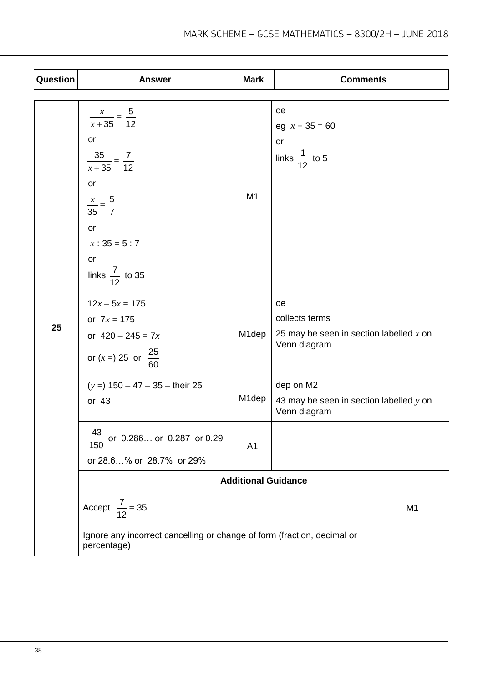| Question | <b>Answer</b>                                                                                                                                                           | <b>Mark</b>                | <b>Comments</b>                                                                   |                |
|----------|-------------------------------------------------------------------------------------------------------------------------------------------------------------------------|----------------------------|-----------------------------------------------------------------------------------|----------------|
|          | $\frac{x}{x+35} = \frac{5}{12}$<br>or<br>$\frac{35}{x+35} = \frac{7}{12}$<br>or<br>$\frac{x}{35} = \frac{5}{7}$<br>or<br>$x:35=5:7$<br>or<br>links $\frac{7}{12}$ to 35 | M <sub>1</sub>             | oe<br>eg $x + 35 = 60$<br>or<br>links $\frac{1}{12}$ to 5                         |                |
| 25       | $12x - 5x = 175$<br>or $7x = 175$<br>or $420 - 245 = 7x$<br>or $(x =) 25$ or $\frac{25}{60}$                                                                            | M1dep                      | oe<br>collects terms<br>25 may be seen in section labelled $x$ on<br>Venn diagram |                |
|          | $(y = 150 - 47 - 35 -$ their 25<br>or $43$                                                                                                                              | M <sub>1</sub> dep         | dep on M2<br>43 may be seen in section labelled $y$ on<br>Venn diagram            |                |
|          | $\frac{43}{150}$ or 0.286 or 0.287 or 0.29<br>or 28.6% or 28.7% or 29%                                                                                                  | A <sub>1</sub>             |                                                                                   |                |
|          |                                                                                                                                                                         | <b>Additional Guidance</b> |                                                                                   |                |
|          | Accept $\frac{7}{12}$ = 35                                                                                                                                              |                            |                                                                                   | M <sub>1</sub> |
|          | Ignore any incorrect cancelling or change of form (fraction, decimal or<br>percentage)                                                                                  |                            |                                                                                   |                |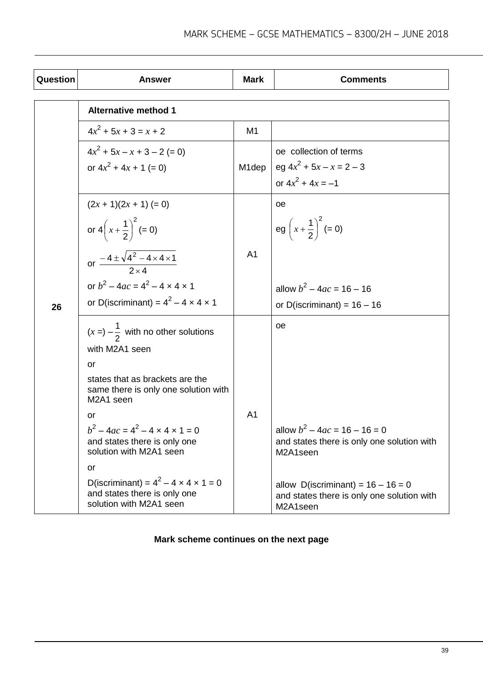| <b>Question</b> | <b>Answer</b>                                                                                                | <b>Mark</b>    | <b>Comments</b>                                                                                |
|-----------------|--------------------------------------------------------------------------------------------------------------|----------------|------------------------------------------------------------------------------------------------|
|                 | <b>Alternative method 1</b>                                                                                  |                |                                                                                                |
|                 | $4x^2$ + 5x + 3 = x + 2                                                                                      | M <sub>1</sub> |                                                                                                |
|                 | $4x^2 + 5x - x + 3 - 2 = 0$<br>or $4x^2 + 4x + 1 (= 0)$                                                      | M1dep          | oe collection of terms<br>eg $4x^2$ + 5x - x = 2 - 3<br>or $4x^2 + 4x = -1$                    |
| 26              | $(2x + 1)(2x + 1) (= 0)$<br>or $4\left(x+\frac{1}{2}\right)^2 (=0)$                                          |                | oе<br>eg $\left(x + \frac{1}{2}\right)^2 (= 0)$                                                |
|                 | or $\frac{-4 \pm \sqrt{4^2 - 4 \times 4 \times 1}}{2 \times 4}$                                              | A <sub>1</sub> |                                                                                                |
|                 | or $b^2 - 4ac = 4^2 - 4 \times 4 \times 1$<br>or D(iscriminant) = $4^2 - 4 \times 4 \times 1$                |                | allow $b^2 - 4ac = 16 - 16$<br>or D(iscriminant) = $16 - 16$                                   |
|                 | $(x =) -\frac{1}{2}$ with no other solutions<br>with M2A1 seen<br>or                                         |                | oe                                                                                             |
|                 | states that as brackets are the<br>same there is only one solution with<br>M2A1 seen                         |                |                                                                                                |
|                 | or<br>$b^2 - 4ac = 4^2 - 4 \times 4 \times 1 = 0$<br>and states there is only one<br>solution with M2A1 seen | A <sub>1</sub> | allow $b^2 - 4ac = 16 - 16 = 0$<br>and states there is only one solution with<br>M2A1seen      |
|                 | or<br>D(iscriminant) = $4^2$ – 4 x 4 x 1 = 0<br>and states there is only one<br>solution with M2A1 seen      |                | allow D(iscriminant) = $16 - 16 = 0$<br>and states there is only one solution with<br>M2A1seen |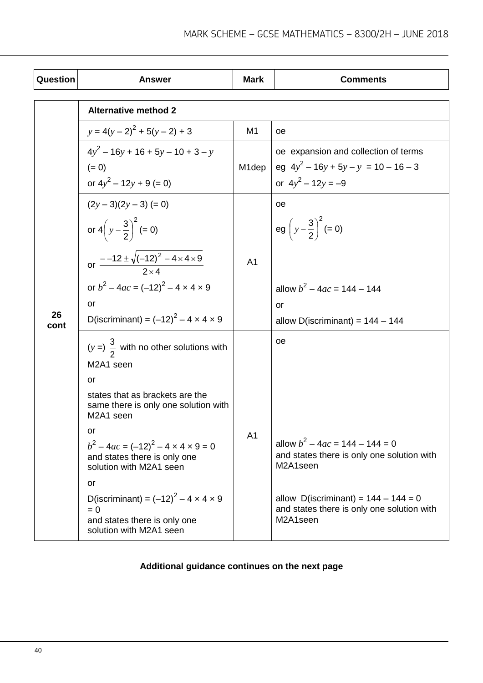| <b>Question</b> | <b>Answer</b>                                                                                                          | <b>Mark</b>        | <b>Comments</b>                                                                                  |
|-----------------|------------------------------------------------------------------------------------------------------------------------|--------------------|--------------------------------------------------------------------------------------------------|
|                 | <b>Alternative method 2</b>                                                                                            |                    |                                                                                                  |
|                 | $y = 4(y-2)^{2} + 5(y-2) + 3$                                                                                          | M <sub>1</sub>     | oе                                                                                               |
|                 | $4y^2 - 16y + 16 + 5y - 10 + 3 - y$                                                                                    |                    | oe expansion and collection of terms                                                             |
|                 | $(= 0)$                                                                                                                | M <sub>1</sub> dep | eg $4y^2 - 16y + 5y - y = 10 - 16 - 3$                                                           |
|                 | or $4y^2 - 12y + 9 (= 0)$                                                                                              |                    | or $4y^2 - 12y = -9$                                                                             |
|                 | $(2y-3)(2y-3) (= 0)$                                                                                                   |                    | оe                                                                                               |
|                 | or $4\left(y-\frac{3}{2}\right)^2 (=0)$                                                                                |                    | eg $\left(y-\frac{3}{2}\right)^2 (=0)$                                                           |
|                 | or $\frac{-12 \pm \sqrt{(-12)^2 - 4 \times 4 \times 9}}{2 \times 4}$                                                   | A <sub>1</sub>     |                                                                                                  |
|                 | or $b^2 - 4ac = (-12)^2 - 4 \times 4 \times 9$                                                                         |                    | allow $b^2 - 4ac = 144 - 144$                                                                    |
|                 | <b>or</b>                                                                                                              |                    | or                                                                                               |
| 26<br>cont      | D(iscriminant) = $(-12)^2 - 4 \times 4 \times 9$                                                                       |                    | allow D(iscriminant) = $144 - 144$                                                               |
|                 | $(y = \frac{3}{2}$ with no other solutions with                                                                        |                    | оe                                                                                               |
|                 | M2A1 seen                                                                                                              |                    |                                                                                                  |
|                 | or                                                                                                                     |                    |                                                                                                  |
|                 | states that as brackets are the<br>same there is only one solution with<br>M2A1 seen                                   | A <sub>1</sub>     |                                                                                                  |
|                 | or<br>$b^2 - 4ac = (-12)^2 - 4 \times 4 \times 9 = 0$<br>and states there is only one<br>solution with M2A1 seen       |                    | allow $b^2 - 4ac = 144 - 144 = 0$<br>and states there is only one solution with<br>M2A1seen      |
|                 | or                                                                                                                     |                    |                                                                                                  |
|                 | D(iscriminant) = $(-12)^{2} - 4 \times 4 \times 9$<br>$= 0$<br>and states there is only one<br>solution with M2A1 seen |                    | allow D(iscriminant) = $144 - 144 = 0$<br>and states there is only one solution with<br>M2A1seen |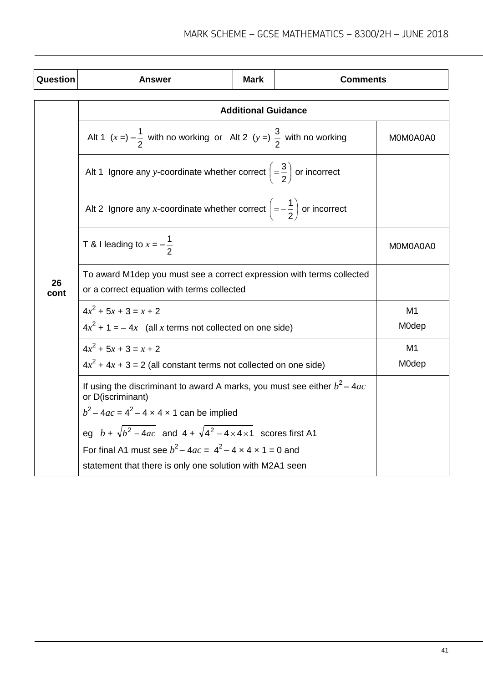| <b>Question</b> | Answer                                                                                                               | <b>Mark</b> | <b>Comments</b> |                         |  |
|-----------------|----------------------------------------------------------------------------------------------------------------------|-------------|-----------------|-------------------------|--|
|                 | <b>Additional Guidance</b>                                                                                           |             |                 |                         |  |
|                 | Alt 1 $(x =) -\frac{1}{2}$ with no working or Alt 2 $(y =)$ $\frac{3}{2}$ with no working                            |             |                 | MOMOA0A0                |  |
|                 | Alt 1 Ignore any y-coordinate whether correct $\left(=\frac{3}{2}\right)$ or incorrect                               |             |                 |                         |  |
|                 | Alt 2 Ignore any x-coordinate whether correct $\left(=-\frac{1}{2}\right)$ or incorrect                              |             |                 |                         |  |
|                 | T & I leading to $x = -\frac{1}{2}$                                                                                  |             |                 | MOMOA0A0                |  |
| 26<br>cont      | To award M1 dep you must see a correct expression with terms collected<br>or a correct equation with terms collected |             |                 |                         |  |
|                 | $4x^2 + 5x + 3 = x + 2$<br>$4x^2 + 1 = -4x$ (all x terms not collected on one side)                                  |             |                 | M <sub>1</sub><br>M0dep |  |
|                 | $4x^2 + 5x + 3 = x + 2$                                                                                              |             |                 | M <sub>1</sub>          |  |
|                 | $4x^2 + 4x + 3 = 2$ (all constant terms not collected on one side)                                                   |             |                 | M0dep                   |  |
|                 | If using the discriminant to award A marks, you must see either $b^2 - 4ac$<br>or D(iscriminant)                     |             |                 |                         |  |
|                 | $b^2 - 4ac = 4^2 - 4 \times 4 \times 1$ can be implied                                                               |             |                 |                         |  |
|                 | eg $b + \sqrt{b^2 - 4ac}$ and $4 + \sqrt{4^2 - 4 \times 4 \times 1}$ scores first A1                                 |             |                 |                         |  |
|                 | For final A1 must see $b^2 - 4ac = 4^2 - 4 \times 4 \times 1 = 0$ and                                                |             |                 |                         |  |
|                 | statement that there is only one solution with M2A1 seen                                                             |             |                 |                         |  |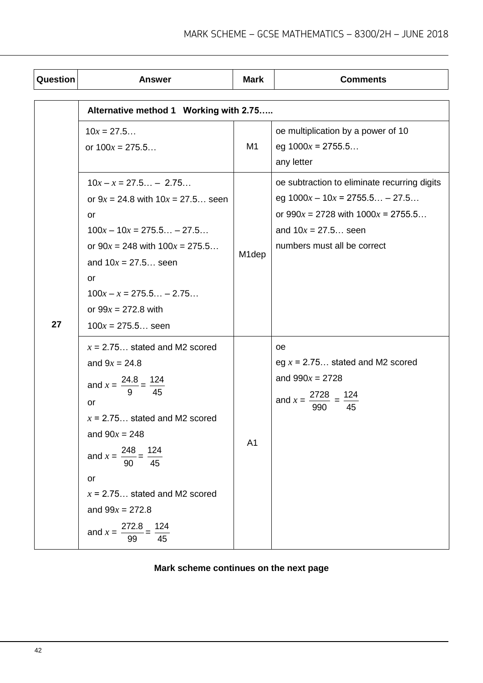| Question | <b>Answer</b>                                                                                                                                                                                                                                                                                                     | <b>Mark</b>        | <b>Comments</b>                                                                                                                                                                    |  |  |  |
|----------|-------------------------------------------------------------------------------------------------------------------------------------------------------------------------------------------------------------------------------------------------------------------------------------------------------------------|--------------------|------------------------------------------------------------------------------------------------------------------------------------------------------------------------------------|--|--|--|
|          | Alternative method 1 Working with 2.75                                                                                                                                                                                                                                                                            |                    |                                                                                                                                                                                    |  |  |  |
| 27       | $10x = 27.5$<br>or $100x = 275.5$                                                                                                                                                                                                                                                                                 | M <sub>1</sub>     | oe multiplication by a power of 10<br>eg $1000x = 2755.5$<br>any letter                                                                                                            |  |  |  |
|          | $10x - x = 27.5 - 2.75$<br>or $9x = 24.8$ with $10x = 27.5$ seen<br><b>or</b><br>$100x - 10x = 275.5 - 27.5$<br>or $90x = 248$ with $100x = 275.5$<br>and $10x = 27.5$ seen<br>or<br>$100x - x = 275.5 - 2.75$<br>or $99x = 272.8$ with<br>$100x = 275.5$ seen                                                    | M <sub>1</sub> dep | oe subtraction to eliminate recurring digits<br>eg $1000x - 10x = 2755.5 - 27.5$<br>or $990x = 2728$ with $1000x = 2755.5$<br>and $10x = 27.5$ seen<br>numbers must all be correct |  |  |  |
|          | $x = 2.75$ stated and M2 scored<br>and $9x = 24.8$<br>and $x = \frac{24.8}{9} = \frac{124}{45}$<br>or<br>$x = 2.75$ stated and M2 scored<br>and $90x = 248$<br>and $x = \frac{248}{90} = \frac{124}{45}$<br>or<br>$x = 2.75$ stated and M2 scored<br>and $99x = 272.8$<br>272.8<br>124<br>and $x = -$<br>45<br>99 | A <sub>1</sub>     | <b>oe</b><br>eg $x = 2.75$ stated and M2 scored<br>and $990x = 2728$<br>and $x =$<br>45<br>990                                                                                     |  |  |  |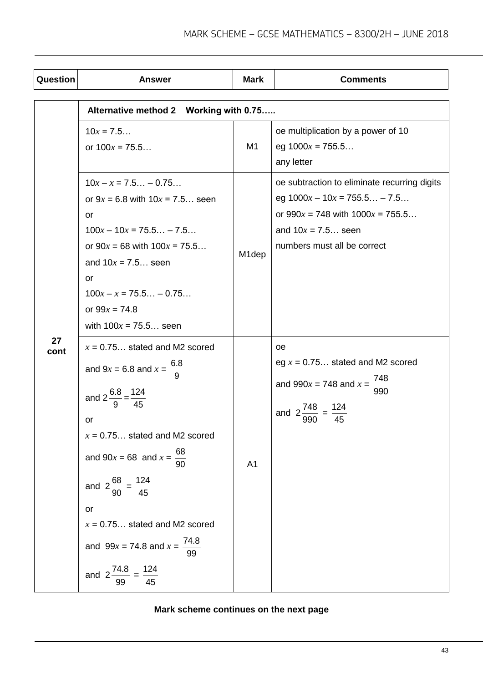| Question   | <b>Answer</b>                                                                                                                                                                                                                                                                                                                                                                    | <b>Mark</b>        | <b>Comments</b>                                                                                                                                                               |  |  |
|------------|----------------------------------------------------------------------------------------------------------------------------------------------------------------------------------------------------------------------------------------------------------------------------------------------------------------------------------------------------------------------------------|--------------------|-------------------------------------------------------------------------------------------------------------------------------------------------------------------------------|--|--|
|            | Alternative method 2 Working with 0.75                                                                                                                                                                                                                                                                                                                                           |                    |                                                                                                                                                                               |  |  |
|            | $10x = 7.5$<br>or $100x = 75.5$                                                                                                                                                                                                                                                                                                                                                  | M1                 | oe multiplication by a power of 10<br>eg $1000x = 755.5$<br>any letter                                                                                                        |  |  |
|            | $10x - x = 7.5 - 0.75$<br>or $9x = 6.8$ with $10x = 7.5$ seen<br>or<br>$100x - 10x = 75.5 - 7.5$<br>or $90x = 68$ with $100x = 75.5$<br>and $10x = 7.5$ seen<br>or<br>$100x - x = 75.5 - 0.75$<br>or $99x = 74.8$<br>with $100x = 75.5$ seen                                                                                                                                     | M <sub>1</sub> dep | oe subtraction to eliminate recurring digits<br>eg $1000x - 10x = 755.5 - 7.5$<br>or $990x = 748$ with $1000x = 755.5$<br>and $10x = 7.5$ seen<br>numbers must all be correct |  |  |
| 27<br>cont | $x = 0.75$ stated and M2 scored<br>and $9x = 6.8$ and $x = \frac{6.8}{9}$<br>and $2\frac{6.8}{9} = \frac{124}{45}$<br>or<br>$x = 0.75$ stated and M2 scored<br>and $90x = 68$ and $x = \frac{68}{90}$<br>and $2\frac{68}{90} = \frac{124}{45}$<br>or<br>$x = 0.75$ stated and M2 scored<br>and $99x = 74.8$ and $x = \frac{74.8}{99}$<br>and $2\frac{74.8}{99} = \frac{124}{45}$ | A <sub>1</sub>     | <b>oe</b><br>eg $x = 0.75$ stated and M2 scored<br>and $990x = 748$ and $x = \frac{748}{x}$<br>990<br>and $2\frac{748}{990} = \frac{124}{45}$                                 |  |  |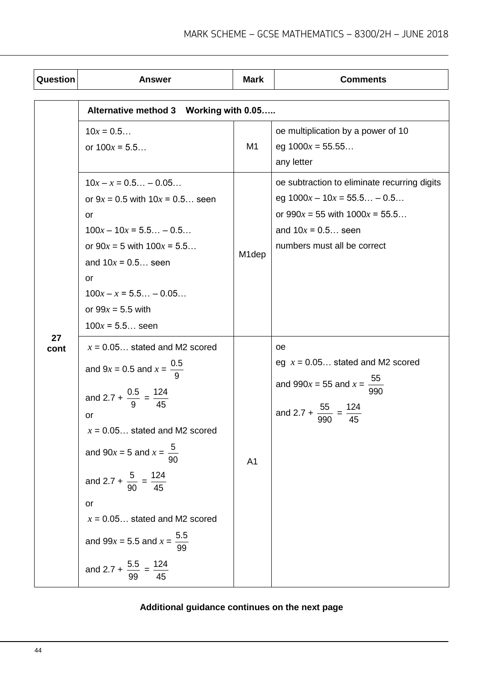| Question   | <b>Answer</b>                                                                                                                                                                                                                                                                                                                                                                               | <b>Mark</b>        | <b>Comments</b>                                                                                                                                                            |  |  |  |
|------------|---------------------------------------------------------------------------------------------------------------------------------------------------------------------------------------------------------------------------------------------------------------------------------------------------------------------------------------------------------------------------------------------|--------------------|----------------------------------------------------------------------------------------------------------------------------------------------------------------------------|--|--|--|
|            | Alternative method 3 Working with 0.05                                                                                                                                                                                                                                                                                                                                                      |                    |                                                                                                                                                                            |  |  |  |
|            | $10x = 0.5$<br>or $100x = 5.5$                                                                                                                                                                                                                                                                                                                                                              | M1                 | oe multiplication by a power of 10<br>eg $1000x = 55.55$<br>any letter                                                                                                     |  |  |  |
|            | $10x - x = 0.5 - 0.05$<br>or $9x = 0.5$ with $10x = 0.5$ seen<br>or<br>$100x - 10x = 5.5 - 0.5$<br>or $90x = 5$ with $100x = 5.5$<br>and $10x = 0.5$ seen<br>or<br>$100x - x = 5.5 - 0.05$<br>or $99x = 5.5$ with<br>$100x = 5.5$ seen                                                                                                                                                      | M <sub>1</sub> dep | oe subtraction to eliminate recurring digits<br>eg $1000x - 10x = 55.5 - 0.5$<br>or $990x = 55$ with $1000x = 55.5$<br>and $10x = 0.5$ seen<br>numbers must all be correct |  |  |  |
| 27<br>cont | $x = 0.05$ stated and M2 scored<br>and $9x = 0.5$ and $x = \frac{0.5}{9}$<br>and 2.7 + $\frac{0.5}{9} = \frac{124}{45}$<br>or<br>$x = 0.05$ stated and M2 scored<br>and $90x = 5$ and $x = \frac{5}{90}$<br>and 2.7 + $\frac{5}{90}$ = $\frac{124}{45}$<br>or<br>$x = 0.05$ stated and M2 scored<br>and 99x = 5.5 and $x = \frac{5.5}{99}$<br>and 2.7 + $\frac{5.5}{99}$ = $\frac{124}{45}$ | A <sub>1</sub>     | <b>oe</b><br>eg $x = 0.05$ stated and M2 scored<br>and 990 $x = 55$ and $x = \frac{55}{990}$<br>and 2.7 + $\frac{55}{990} = \frac{124}{45}$                                |  |  |  |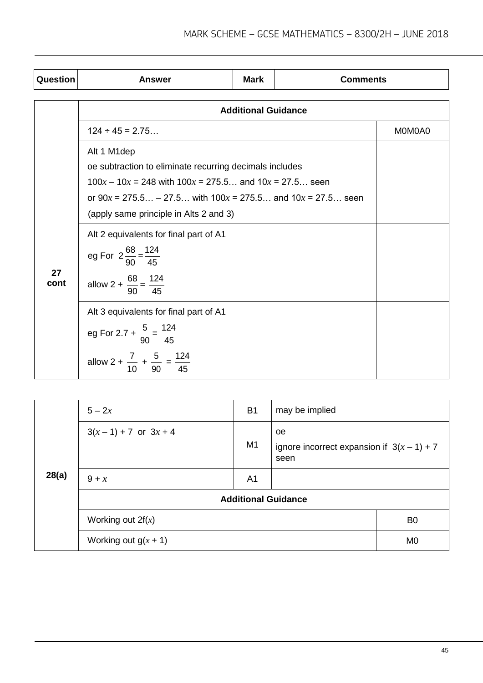| Question   | Answer                                                                                                                                                                                                                                                | <b>Mark</b> | <b>Comments</b> |  |  |  |
|------------|-------------------------------------------------------------------------------------------------------------------------------------------------------------------------------------------------------------------------------------------------------|-------------|-----------------|--|--|--|
|            | <b>Additional Guidance</b>                                                                                                                                                                                                                            |             |                 |  |  |  |
|            | $124 \div 45 = 2.75$                                                                                                                                                                                                                                  |             | M0M0A0          |  |  |  |
|            | Alt 1 M1dep<br>oe subtraction to eliminate recurring decimals includes<br>$100x - 10x = 248$ with $100x = 275.5$ and $10x = 27.5$ seen<br>or $90x = 275.5 - 27.5$ with $100x = 275.5$ and $10x = 27.5$ seen<br>(apply same principle in Alts 2 and 3) |             |                 |  |  |  |
| 27<br>cont | Alt 2 equivalents for final part of A1<br>eg For $2\frac{68}{90} = \frac{124}{45}$<br>allow 2 + $\frac{68}{90} = \frac{124}{45}$                                                                                                                      |             |                 |  |  |  |
|            | Alt 3 equivalents for final part of A1<br>eg For 2.7 + $\frac{5}{90} = \frac{124}{45}$<br>allow 2 + $\frac{7}{10}$ + $\frac{5}{90}$ = $\frac{124}{45}$                                                                                                |             |                 |  |  |  |

| 28(a) | $5 - 2x$                   | <b>B1</b>      | may be implied                                              |                |
|-------|----------------------------|----------------|-------------------------------------------------------------|----------------|
|       | $3(x-1) + 7$ or $3x + 4$   | M1             | oe.<br>ignore incorrect expansion if $3(x - 1) + 7$<br>seen |                |
|       | $9 + x$                    | A <sub>1</sub> |                                                             |                |
|       | <b>Additional Guidance</b> |                |                                                             |                |
|       | Working out $2f(x)$        |                |                                                             | B <sub>0</sub> |
|       | Working out $g(x + 1)$     |                |                                                             | M <sub>0</sub> |